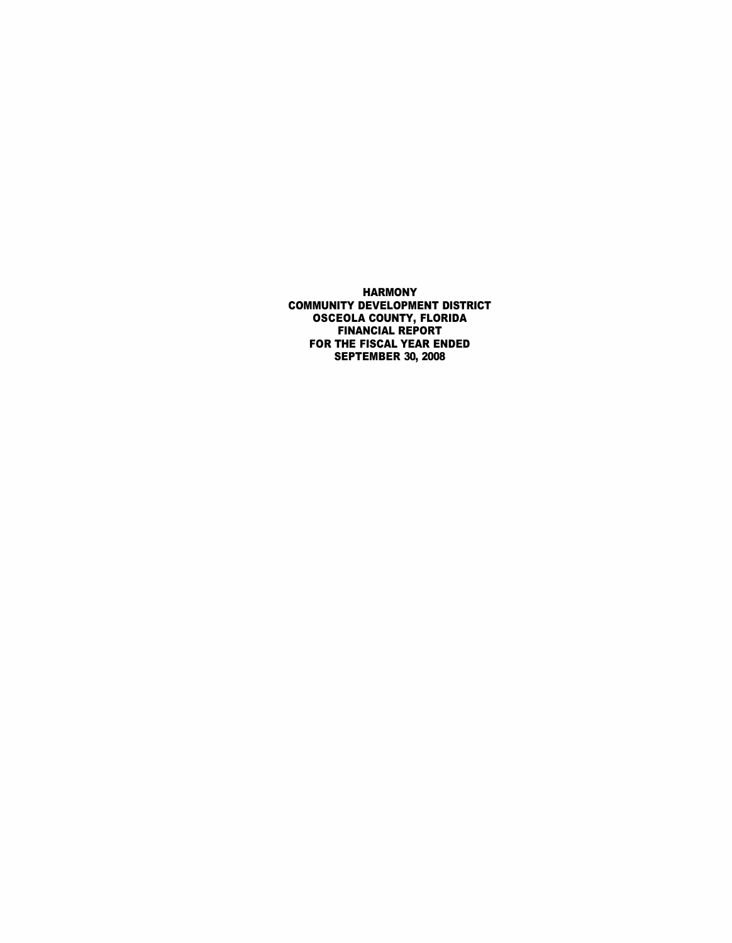HARMONY COMMUNITY DEVELOPMENT DISTRICT OSCEOLA COUNTY, FLORIDA FINANCIAL REPORT FOR THE FISCAL YEAR ENDED SEPTEMBER 30, 2008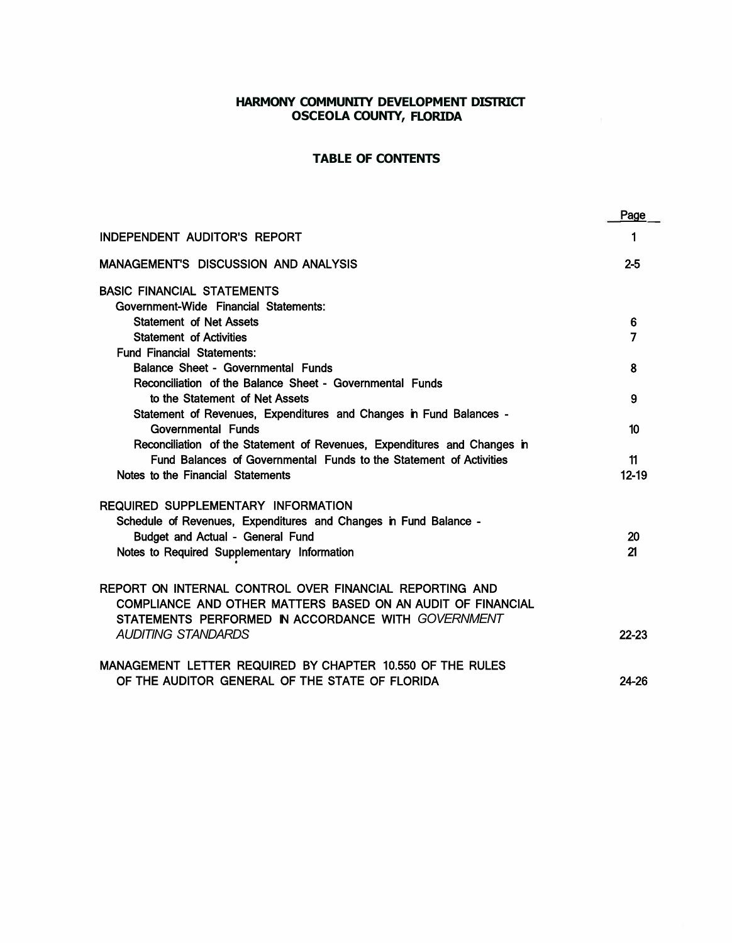# **HARMONY COMMUNITY DEVELOPMENT DISTRICT OSCEOLA COUNTY, FLORIDA**

# **TABLE OF CONTENTS**

|                                                                                                                                                                              | Page      |
|------------------------------------------------------------------------------------------------------------------------------------------------------------------------------|-----------|
| <b>INDEPENDENT AUDITOR'S REPORT</b>                                                                                                                                          | 1         |
| <b>MANAGEMENT'S DISCUSSION AND ANALYSIS</b>                                                                                                                                  | $2 - 5$   |
| <b>BASIC FINANCIAL STATEMENTS</b>                                                                                                                                            |           |
| Government-Wide Financial Statements:<br><b>Statement of Net Assets</b>                                                                                                      | 6         |
| <b>Statement of Activities</b>                                                                                                                                               | 7         |
| <b>Fund Financial Statements:</b>                                                                                                                                            |           |
| Balance Sheet - Governmental Funds                                                                                                                                           | 8         |
| Reconciliation of the Balance Sheet - Governmental Funds                                                                                                                     |           |
| to the Statement of Net Assets                                                                                                                                               | 9         |
| Statement of Revenues, Expenditures and Changes in Fund Balances -                                                                                                           |           |
| Governmental Funds<br>Reconciliation of the Statement of Revenues, Expenditures and Changes in                                                                               | 10        |
| Fund Balances of Governmental Funds to the Statement of Activities                                                                                                           | 11        |
| Notes to the Financial Statements                                                                                                                                            | $12 - 19$ |
| <b>REQUIRED SUPPLEMENTARY INFORMATION</b>                                                                                                                                    |           |
| Schedule of Revenues, Expenditures and Changes in Fund Balance -                                                                                                             |           |
| Budget and Actual - General Fund                                                                                                                                             | 20        |
| Notes to Required Supplementary Information                                                                                                                                  | 21        |
| REPORT ON INTERNAL CONTROL OVER FINANCIAL REPORTING AND<br>COMPLIANCE AND OTHER MATTERS BASED ON AN AUDIT OF FINANCIAL<br>STATEMENTS PERFORMED IN ACCORDANCE WITH GOVERNMENT |           |
| <b>AUDITING STANDARDS</b>                                                                                                                                                    | $22 - 23$ |
| MANAGEMENT LETTER REQUIRED BY CHAPTER 10.550 OF THE RULES                                                                                                                    |           |
| OF THE AUDITOR GENERAL OF THE STATE OF FLORIDA                                                                                                                               | 24-26     |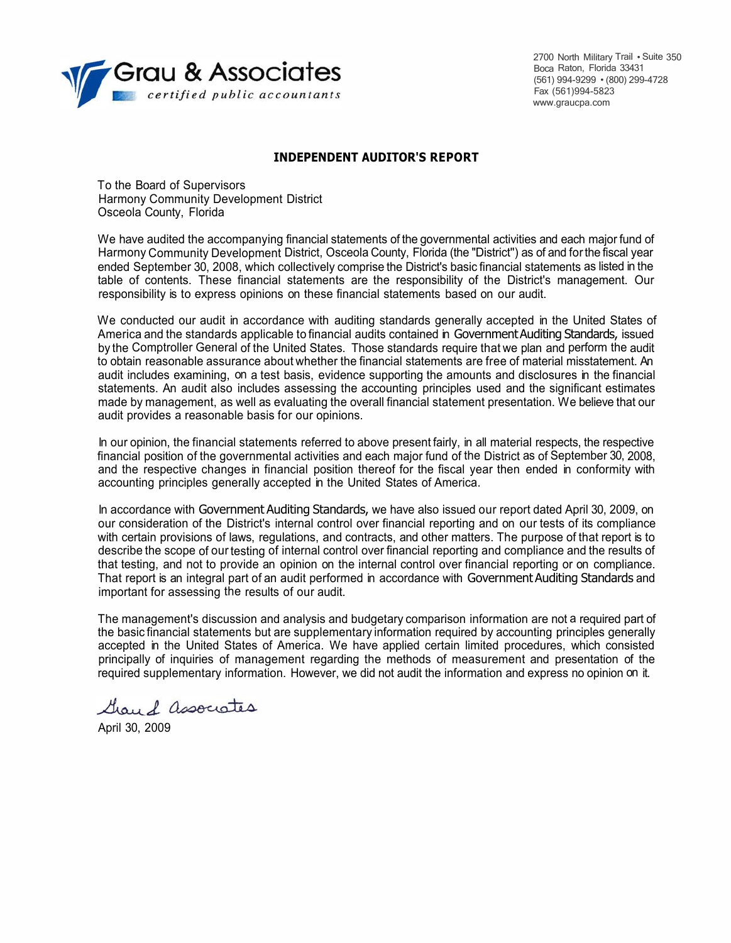

2700 North Military Trail • Suite 350 Boca Raton, Florida 33431 (561) 994-9299 • (800) 299-4728 Fax (561)994-5823 www.graucpa.com

### **INDEPENDENT AUDITOR'S REPORT**

To the Board of Supervisors Harmony Community Development District Osceola County, Florida

We have audited the accompanying financial statements of the governmental activities and each major fund of Harmony Community Development District, Osceola County, Florida (the "District'') as of and forthe fiscal year ended September 30, 2008, which collectively comprise the District's basic financial statements as listed in the table of contents. These financial statements are the responsibility of the District's management. Our responsibility is to express opinions on these financial statements based on our audit.

We conducted our audit in accordance with auditing standards generally accepted in the United States of America and the standards applicable to financial audits contained in Government Auditing Standards, issued by the Comptroller General of the United States. Those standards require that we plan and perform the audit to obtain reasonable assurance about whether the financial statements are free of material misstatement. An audit includes examining, on a test basis, evidence supporting the amounts and disclosures in the financial statements. An audit also includes assessing the accounting principles used and the significant estimates made by management, as well as evaluating the overall financial statement presentation. We believe that our audit provides a reasonable basis for our opinions.

In our opinion, the financial statements referred to above present fairly, in all material respects, the respective financial position of the governmental activities and each major fund of the District as of September 30, 2008, and the respective changes in financial position thereof for the fiscal year then ended in conformity with accounting principles generally accepted in the United States of America.

In accordance with Government Auditing Standards, we have also issued our report dated April 30, 2009, on our consideration of the District's internal control over financial reporting and on our tests of its compliance with certain provisions of laws, regulations, and contracts, and other matters. The purpose of that report is to describe the scope of our testing of internal control over financial reporting and compliance and the results of that testing, and not to provide an opinion on the internal control over financial reporting or on compliance. That report is an integral part of an audit performed in accordance with Government Auditing Standards and important for assessing the results of our audit.

The management's discussion and analysis and budgetary comparison information are not a required part of the basic financial statements but are supplementary information required by accounting principles generally accepted in the United States of America. We have applied certain limited procedures, which consisted principally of inquiries of management regarding the methods of measurement and presentation of the required supplementary information. However, we did not audit the information and express no opinion on it.

Grand associates

April 30, 2009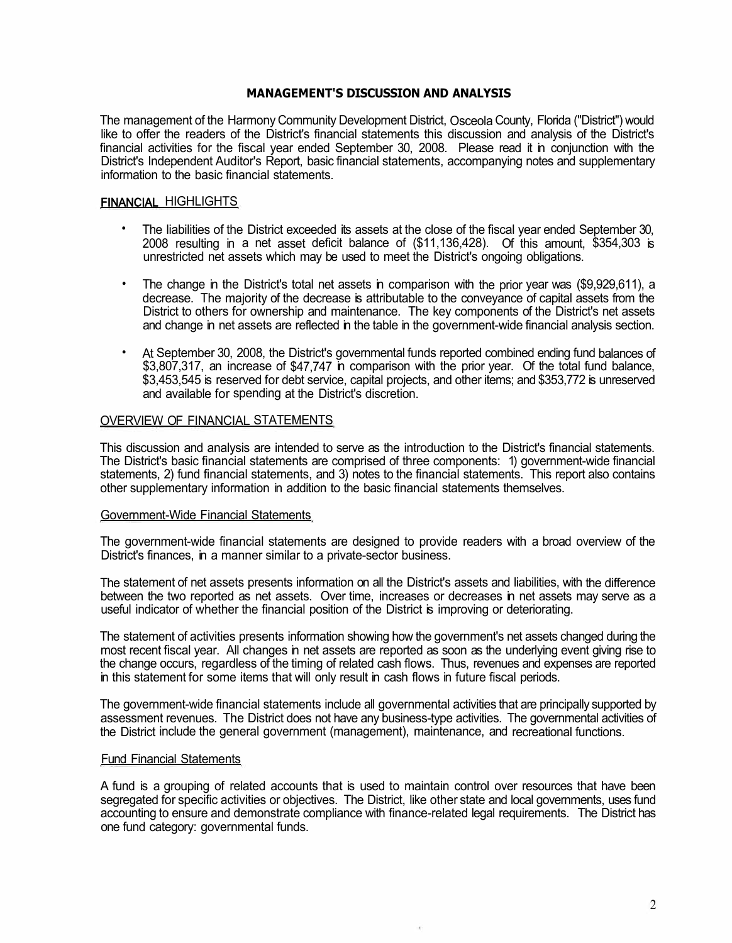## **MANAGEMENT'S DISCUSSION AND ANALYSIS**

The management of the Harmony Community Development District, Osceola County, Florida ("District'') would like to offer the readers of the District's financial statements this discussion and analysis of the District's financial activities for the fiscal year ended September 30, 2008. Please read it in conjunction with the District's Independent Auditor's Report, basic financial statements, accompanying notes and supplementary information to the basic financial statements.

## FINANCIAL HIGHLIGHTS

- The liabilities of the District exceeded its assets at the close of the fiscal year ended September 30, 2008 resulting in a net asset deficit balance of (\$11,136,428). Of this amount, \$354,303 is unrestricted net assets which may be used to meet the District's ongoing obligations.
- The change in the District's total net assets in comparison with the prior year was (\$9,929,611), a decrease. The majority of the decrease is attributable to the conveyance of capital assets from the District to others for ownership and maintenance. The key components of the District's net assets and change in net assets are reflected in the table in the government-wide financial analysis section.
- At September 30, 2008, the District's governmental funds reported combined ending fund balances of \$3,807,317, an increase of \$47,747 in comparison with the prior year. Of the total fund balance, \$3,453,545 is reserved for debt service, capital projects, and other items; and \$353,772 is unreserved and available for spending at the District's discretion.

## OVERVIEW OF FINANCIAL STATEMENTS

This discussion and analysis are intended to serve as the introduction to the District's financial statements. The District's basic financial statements are comprised of three components: 1) government-wide financial statements, 2) fund financial statements, and 3) notes to the financial statements. This report also contains other supplementary information in addition to the basic financial statements themselves.

### Government-Wide Financial Statements

The government-wide financial statements are designed to provide readers with a broad overview of the District's finances, in a manner similar to a private-sector business.

The statement of net assets presents information on all the District's assets and liabilities, with the difference between the two reported as net assets. Over time, increases or decreases in net assets may serve as a useful indicator of whether the financial position of the District is improving or deteriorating.

The statement of activities presents information showing how the government's net assets changed during the most recent fiscal year. All changes in net assets are reported as soon as the underlying event giving rise to the change occurs, regardless of the timing of related cash flows. Thus, revenues and expenses are reported in this statement for some items that will only result in cash flows in future fiscal periods.

The government-wide financial statements include all governmental activities that are principally supported by assessment revenues. The District does not have any business-type activities. The governmental activities of the District include the general government (management), maintenance, and recreational functions.

### Fund Financial Statements

A fund is a grouping of related accounts that is used to maintain control over resources that have been segregated for specific activities or objectives. The District, like other state and local governments, uses fund accounting to ensure and demonstrate compliance with finance-related legal requirements. The District has one fund category: governmental funds.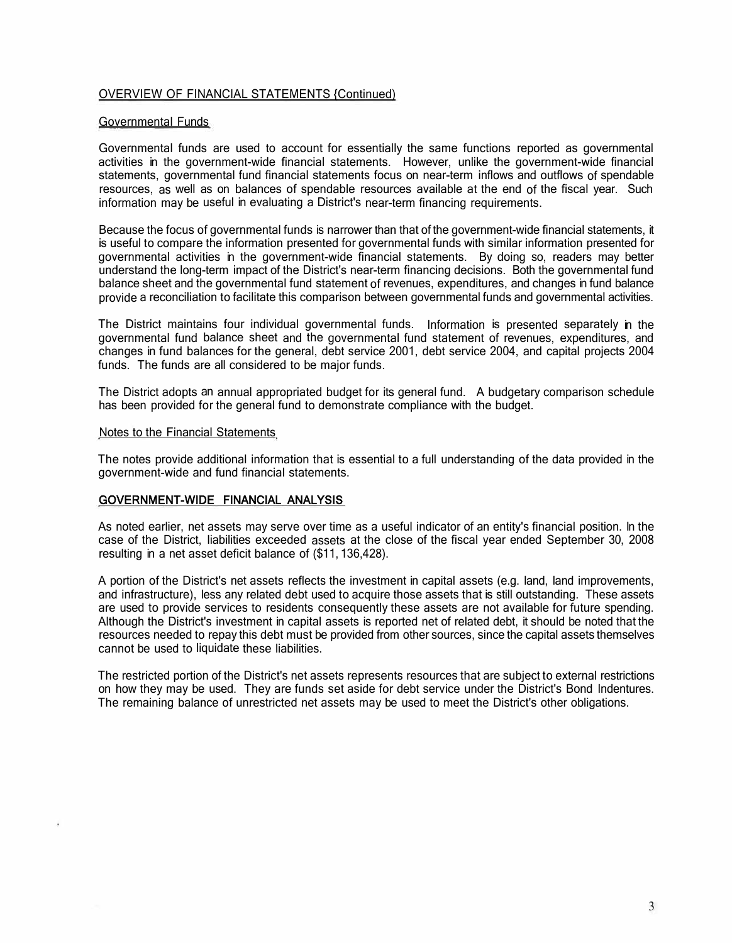## OVERVIEW OF FINANCIAL STATEMENTS {Continued)

#### Governmental Funds

Governmental funds are used to account for essentially the same functions reported as governmental activities in the government-wide financial statements. However, unlike the government-wide financial statements, governmental fund financial statements focus on near-term inflows and outflows of spendable resources, as well as on balances of spendable resources available at the end of the fiscal year. Such information may be useful in evaluating a District's near-term financing requirements.

Because the focus of governmental funds is narrower than that of the government-wide financial statements, it is useful to compare the information presented for governmental funds with similar information presented for governmental activities in the government-wide financial statements. By doing so, readers may better understand the long-term impact of the District's near-term financing decisions. Both the governmental fund balance sheet and the governmental fund statement of revenues, expenditures, and changes in fund balance provide a reconciliation to facilitate this comparison between governmental funds and governmental activities.

The District maintains four individual governmental funds. Information is presented separately in the governmental fund balance sheet and the governmental fund statement of revenues, expenditures, and changes in fund balances for the general, debt service 2001, debt service 2004, and capital projects 2004 funds. The funds are all considered to be major funds.

The District adopts an annual appropriated budget for its general fund. A budgetary comparison schedule has been provided for the general fund to demonstrate compliance with the budget.

### Notes to the Financial Statements

The notes provide additional information that is essential to a full understanding of the data provided in the government-wide and fund financial statements.

### GOVERNMENT-WIDE FINANCIAL ANALYSIS

As noted earlier, net assets may serve over time as a useful indicator of an entity's financial position. In the case of the District, liabilities exceeded assets at the close of the fiscal year ended September 30, 2008 resulting in a net asset deficit balance of (\$11, 136,428).

A portion of the District's net assets reflects the investment in capital assets (e.g. land, land improvements, and infrastructure), less any related debt used to acquire those assets that is still outstanding. These assets are used to provide services to residents consequently these assets are not available for future spending. Although the District's investment in capital assets is reported net of related debt, it should be noted that the resources needed to repay this debt must be provided from other sources, since the capital assets themselves cannot be used to liquidate these liabilities.

The restricted portion of the District's net assets represents resources that are subject to external restrictions on how they may be used. They are funds set aside for debt service under the District's Bond Indentures. The remaining balance of unrestricted net assets may be used to meet the District's other obligations.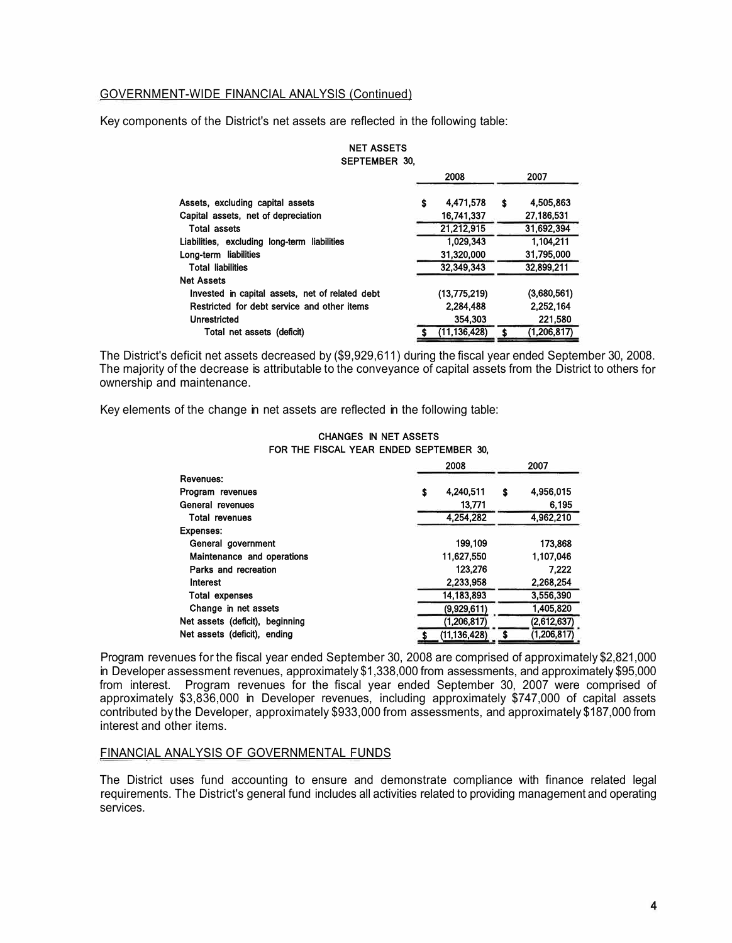## GOVERNMENT-WIDE FINANCIAL ANALYSIS (Continued)

Key components of the District's net assets are reflected in the following table:

| VLI ILMPLII VV. |               |    |             |
|-----------------|---------------|----|-------------|
|                 | 2008          |    | 2007        |
| \$              | 4 4 7 1 5 7 8 | \$ | 4.505.863   |
|                 | 16,741,337    |    | 27,186,531  |
|                 | 21,212,915    |    | 31,692,394  |
|                 | 1.029.343     |    | 1,104,211   |
|                 | 31.320.000    |    | 31.795,000  |
|                 | 32.349.343    |    | 32,899,211  |
|                 |               |    |             |
|                 | (13,775,219)  |    | (3,680,561) |
|                 | 2.284,488     |    | 2.252.164   |
|                 | 354.303       |    | 221,580     |
|                 | (11,136,428)  | S  | (1,206,817) |
|                 |               |    |             |

#### NET ASSETS SEPTEMBER 30,

The District's deficit net assets decreased by (\$9,929,611) during the fiscal year ended September 30, 2008. The majority of the decrease is attributable to the conveyance of capital assets from the District to others for ownership and maintenance.

Key elements of the change in net assets are reflected in the following table:

|                                 | 2008 |                |    | 2007          |
|---------------------------------|------|----------------|----|---------------|
| Revenues:                       |      |                |    |               |
| Program revenues                | \$   | 4.240.511      | \$ | 4,956,015     |
| General revenues                |      | 13.771         |    | 6,195         |
| <b>Total revenues</b>           |      | 4.254.282      |    | 4,962,210     |
| Expenses:                       |      |                |    |               |
| General government              |      | 199.109        |    | 173,868       |
| Maintenance and operations      |      | 11,627,550     |    | 1,107,046     |
| Parks and recreation            |      | 123,276        |    | 7.222         |
| Interest                        |      | 2.233.958      |    | 2.268.254     |
| <b>Total expenses</b>           |      | 14, 183, 893   |    | 3,556,390     |
| Change in net assets            |      | (9,929,611)    |    | 1,405,820     |
| Net assets (deficit), beginning |      | (1,206,817)    |    | (2,612,637)   |
| Net assets (deficit), ending    |      | (11, 136, 428) |    | (1, 206, 817) |

#### CHANGES IN NET ASSETS FOR THE FISCAL YEAR ENDED SEPTEMBER 30,

Program revenues for the fiscal year ended September 30, 2008 are comprised of approximately \$2,821,000 in Developer assessment revenues, approximately \$1,338,000 from assessments, and approximately \$95,000 from interest. Program revenues for the fiscal year ended September 30, 2007 were comprised of approximately \$3,836,000 in Developer revenues, including approximately \$747,000 of capital assets contributed by the Developer, approximately \$933,000 from assessments, and approximately \$187,000 from interest and other items.

### FINANCIAL ANALYSIS OF GOVERNMENTAL FUNDS

The District uses fund accounting to ensure and demonstrate compliance with finance related legal requirements. The District's general fund includes all activities related to providing management and operating services.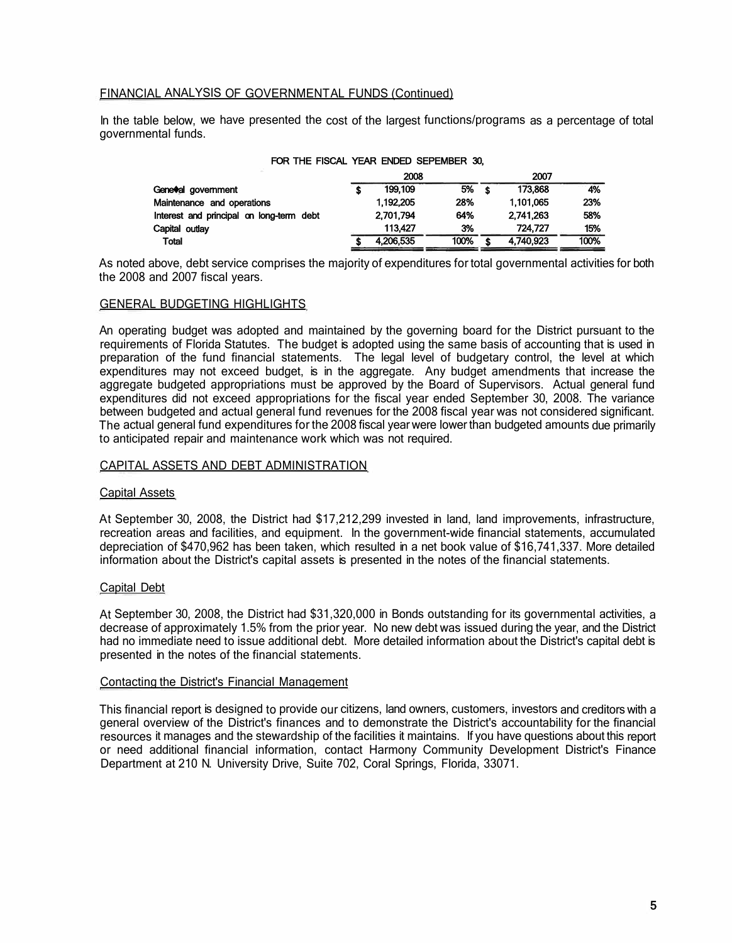## FINANCIAL ANALYSIS OF GOVERNMENTAL FUNDS (Continued)

In the table below, we have presented the cost of the largest functions/programs as a percentage of total governmental funds.

| <u>I VII IIIL I IVVAL TENI LIVED VE EMDEN W.</u> |           |      |           |      |
|--------------------------------------------------|-----------|------|-----------|------|
|                                                  | 2008      |      | 2007      |      |
| Geneval government                               | 199.109   | 5%   | 173.868   | 4%   |
| Maintenance and operations                       | 1,192,205 | 28%  | 1,101,065 | 23%  |
| Interest and principal on long-term debt         | 2.701.794 | 64%  | 2.741.263 | 58%  |
| Capital outlay                                   | 113,427   | 3%   | 724.727   | 15%  |
| <b>Total</b>                                     | 4,206,535 | 100% | 4,740,923 | 100% |

## FOR THE FISCAL YEAR ENDED SEPEMBER 30,

As noted above, debt service comprises the majority of expenditures for total governmental activities for both the 2008 and 2007 fiscal years.

#### GENERAL BUDGETING HIGHLIGHTS

An operating budget was adopted and maintained by the governing board for the District pursuant to the requirements of Florida Statutes. The budget is adopted using the same basis of accounting that is used in preparation of the fund financial statements. The legal level of budgetary control, the level at which expenditures may not exceed budget, is in the aggregate. Any budget amendments that increase the aggregate budgeted appropriations must be approved by the Board of Supervisors. Actual general fund expenditures did not exceed appropriations for the fiscal year ended September 30, 2008. The variance between budgeted and actual general fund revenues for the 2008 fiscal year was not considered significant. The actual general fund expenditures for the 2008 fiscal year were lower than budgeted amounts due primarily to anticipated repair and maintenance work which was not required.

#### CAPITAL ASSETS AND DEBT ADMINISTRATION

#### Capital Assets

At September 30, 2008, the District had \$17,212,299 invested in land, land improvements, infrastructure, recreation areas and facilities, and equipment. In the government-wide financial statements, accumulated depreciation of \$470,962 has been taken, which resulted in a net book value of \$16,741,337. More detailed information about the District's capital assets is presented in the notes of the financial statements.

### Capital Debt

At September 30, 2008, the District had \$31,320,000 in Bonds outstanding for its governmental activities, a decrease of approximately 1.5% from the prior year. No new debt was issued during the year, and the District had no immediate need to issue additional debt. More detailed information about the District's capital debt is presented in the notes of the financial statements.

#### Contacting the District's Financial Management

This financial report is designed to provide our citizens, land owners, customers, investors and creditors with a general overview of the District's finances and to demonstrate the District's accountability for the financial resources it manages and the stewardship of the facilities it maintains. If you have questions about this report or need additional financial information, contact Harmony Community Development District's Finance Department at 210 N. University Drive, Suite 702, Coral Springs, Florida, 33071.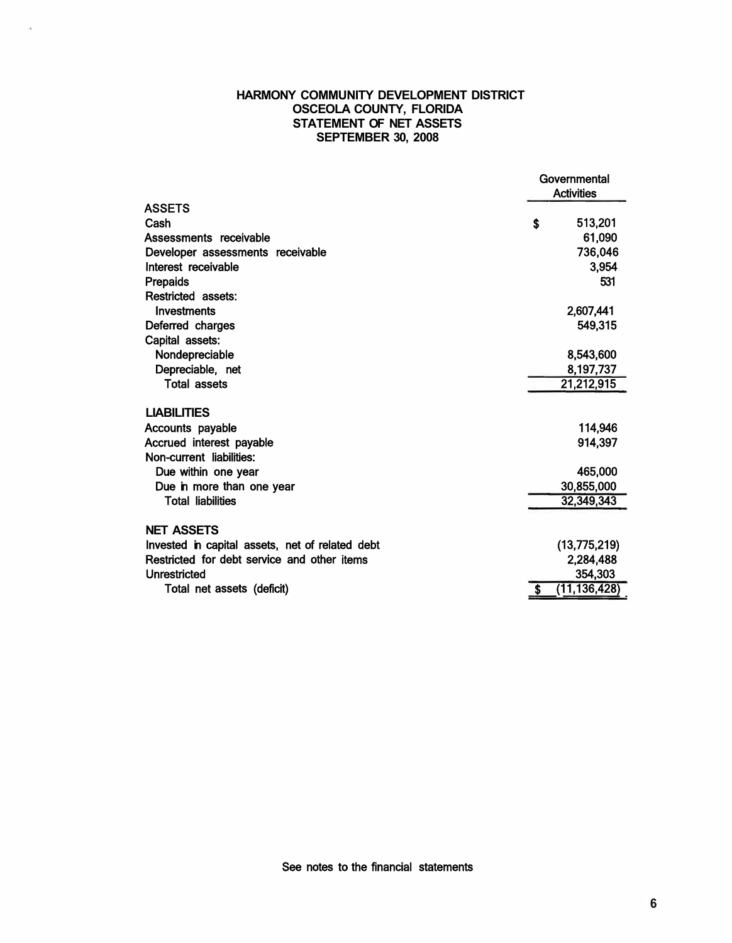## **HARMONY COMMUNITY DEVELOPMENT DISTRICT OSCEOLA COUNTY, FLORIDA STATEMENT OF NET ASSETS SEPTEMBER 30, 2008**

i.

|                                                 | Governmental<br><b>Activities</b> |         |
|-------------------------------------------------|-----------------------------------|---------|
| <b>ASSETS</b>                                   |                                   |         |
| Cash                                            | \$                                | 513,201 |
| Assessments receivable                          |                                   | 61,090  |
| Developer assessments receivable                |                                   | 736,046 |
| Interest receivable                             |                                   | 3,954   |
| <b>Prepaids</b>                                 |                                   | 531     |
| Restricted assets:                              |                                   |         |
| Investments                                     | 2,607,441                         |         |
| Deferred charges                                |                                   | 549,315 |
| Capital assets:                                 |                                   |         |
| Nondepreciable                                  | 8,543,600                         |         |
| Depreciable, net                                | 8,197,737                         |         |
| <b>Total assets</b>                             | 21,212,915                        |         |
| <b>LIABILITIES</b>                              |                                   |         |
| Accounts payable                                |                                   | 114,946 |
| Accrued interest payable                        |                                   | 914,397 |
| Non-current liabilities:                        |                                   |         |
| Due within one year                             |                                   | 465,000 |
| Due in more than one year                       | 30,855,000                        |         |
| <b>Total liabilities</b>                        | 32,349,343                        |         |
|                                                 |                                   |         |
| <b>NET ASSETS</b>                               |                                   |         |
| Invested in capital assets, net of related debt | (13,775,219)                      |         |
| Restricted for debt service and other items     | 2,284,488                         |         |
| Unrestricted                                    |                                   | 354,303 |
| Total net assets (deficit)                      | (11, 136, 428)                    |         |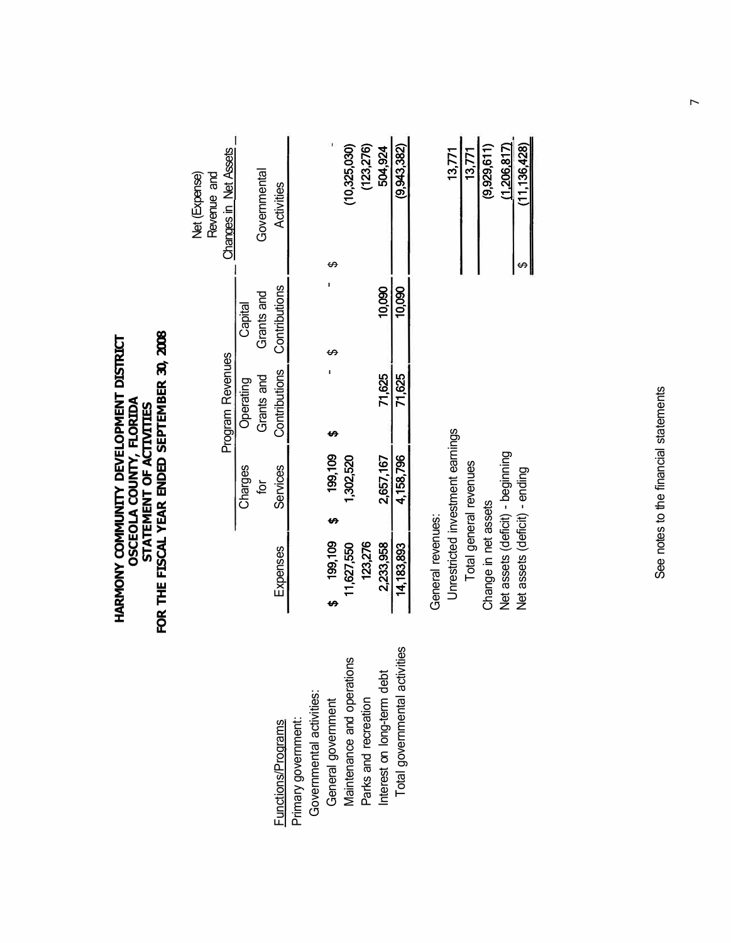| HARMONY COMMUNITY DEVELOPMENT DISTRICT |                                |                                | FOR THE FISCAL YEAR ENDED SEPTEMBER 30, 2008 |
|----------------------------------------|--------------------------------|--------------------------------|----------------------------------------------|
|                                        |                                |                                |                                              |
|                                        |                                |                                |                                              |
|                                        |                                |                                |                                              |
|                                        |                                |                                |                                              |
|                                        |                                |                                |                                              |
|                                        | <b>OSCEOLA COUNTY, FLORIDA</b> | <b>STATEMENT OF ACTIVITIES</b> |                                              |
|                                        |                                |                                |                                              |
|                                        |                                |                                |                                              |
|                                        |                                |                                |                                              |
|                                        |                                |                                |                                              |

Program Revenues Charges Operating semeration for Grants and Grants and

Charges

 $\overline{p}$ 

Program Revenues

Net (Expense) Revenue and Changes in Net Assets

Net (Expense)<br>Revenue and

Changes in Net Assets

Governmental

Governmental

Grants and Capital

Grants and Operating

| Governmental activities:<br>Primary government:<br>Functions/Programs | Maintenance and operations<br>General government | Parks and recreation | Interest on long-term debt | Total governmental activities |
|-----------------------------------------------------------------------|--------------------------------------------------|----------------------|----------------------------|-------------------------------|
|-----------------------------------------------------------------------|--------------------------------------------------|----------------------|----------------------------|-------------------------------|

| Activities                  | (123, 276)<br>(10,325,030)       | 504,924   | 9.943.382 |
|-----------------------------|----------------------------------|-----------|-----------|
|                             |                                  |           |           |
|                             |                                  | 10,090    | 10,090    |
|                             |                                  |           |           |
| Contributions Contributions |                                  | 71,625    | 71,625    |
| <b>Services</b>             | 199,109<br>1,302,520             | 2,657,167 | ,158,796  |
|                             |                                  |           |           |
| Expenses                    | 123,276<br>199.109<br>11.627.550 | 2,233,958 | 4,183,893 |

| ٠ |
|---|
|   |

| 13,771                           | 13,771                 | (9,929,611)          | (1,206,817)                      | (11, 136, 428)                |
|----------------------------------|------------------------|----------------------|----------------------------------|-------------------------------|
| Jnrestricted investment earnings | Total general revenues | Change in net assets | Net assets (deficit) - beginning | Net assets (deficit) - ending |

See notes to the financial statements See notes to the financial statements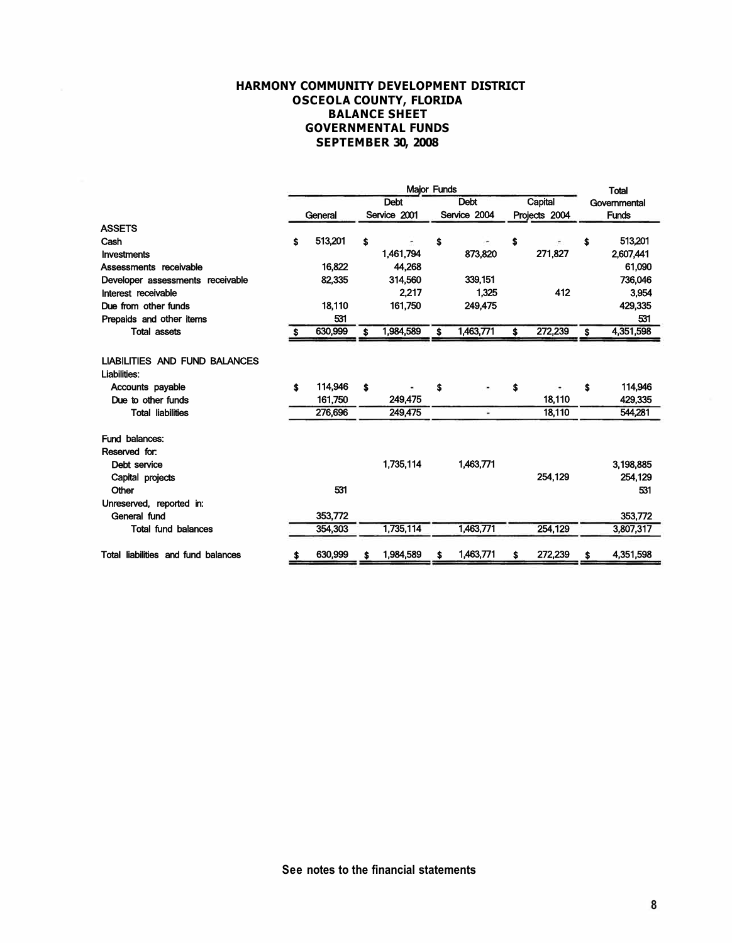### **HARMONY COMMUNITY DEVELOPMENT DISTRICT OSCEOLA COUNTY, FLORIDA BALANCE SHEET GOVERNMENTAL FUNDS SEPTEMBER 30, 2008**

|                                                      | Major Funds |         |    |              |    |              |    |               |    | <b>Total</b> |
|------------------------------------------------------|-------------|---------|----|--------------|----|--------------|----|---------------|----|--------------|
|                                                      |             |         |    | <b>Debt</b>  |    | <b>Debt</b>  |    | Capital       |    | Governmental |
|                                                      |             | General |    | Service 2001 |    | Service 2004 |    | Projects 2004 |    | <b>Funds</b> |
| <b>ASSETS</b>                                        |             |         |    |              |    |              |    |               |    |              |
| Cash                                                 | \$          | 513,201 | \$ |              | \$ |              | \$ |               | \$ | 513,201      |
| Investments                                          |             |         |    | 1,461,794    |    | 873,820      |    | 271,827       |    | 2,607,441    |
| Assessments receivable                               |             | 16,822  |    | 44.268       |    |              |    |               |    | 61,090       |
| Developer assessments receivable                     |             | 82,335  |    | 314,560      |    | 339,151      |    |               |    | 736,046      |
| Interest receivable                                  |             |         |    | 2,217        |    | 1,325        |    | 412           |    | 3,954        |
| Due from other funds                                 |             | 18,110  |    | 161,750      |    | 249,475      |    |               |    | 429,335      |
| Prepaids and other items                             |             | 531     |    |              |    |              |    |               |    | 531          |
| <b>Total assets</b>                                  |             | 630,999 | \$ | 1,984,589    | \$ | 1,463,771    | \$ | 272,239       | Ŝ  | 4,351,598    |
|                                                      |             |         |    |              |    |              |    |               |    |              |
| <b>LIABILITIES AND FUND BALANCES</b><br>Liabilities: |             |         |    |              |    |              |    |               |    |              |
| Accounts payable                                     | \$          | 114,946 | Ŝ  |              | \$ |              | \$ |               | \$ | 114,946      |
| Due to other funds                                   |             | 161,750 |    | 249,475      |    |              |    | 18.110        |    | 429,335      |
| <b>Total liabilities</b>                             |             | 276,696 |    | 249,475      |    | ×.           |    | 18,110        |    | 544,281      |
| Fund balances:                                       |             |         |    |              |    |              |    |               |    |              |
| Reserved for:                                        |             |         |    |              |    |              |    |               |    |              |
| Debt service                                         |             |         |    | 1,735,114    |    | 1,463,771    |    |               |    | 3,198,885    |
| Capital projects                                     |             |         |    |              |    |              |    | 254,129       |    | 254,129      |
| Other                                                |             | 531     |    |              |    |              |    |               |    | 531          |
| Unreserved, reported in:                             |             |         |    |              |    |              |    |               |    |              |
| General fund                                         |             | 353,772 |    |              |    |              |    |               |    | 353,772      |
| <b>Total fund balances</b>                           |             | 354,303 |    | 1,735,114    |    | 1,463,771    |    | 254,129       |    | 3,807,317    |
| Total liabilities and fund balances                  |             | 630,999 |    | 1,984,589    | s  | 1,463,771    | \$ | 272,239       |    | 4,351,598    |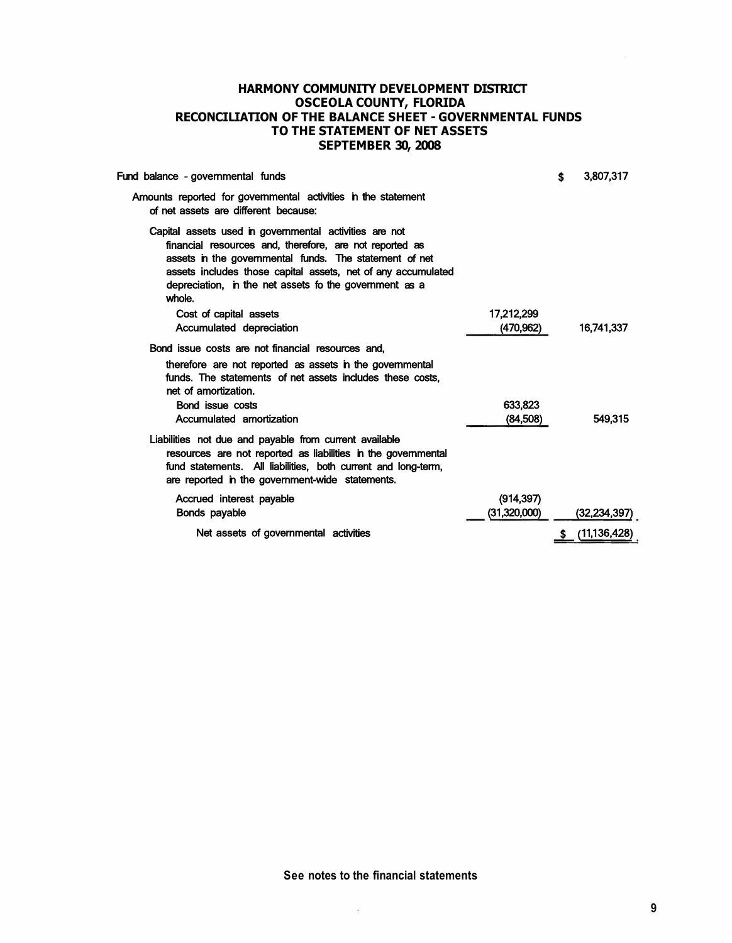## **HARMONY COMMUNITY DEVELOPMENT DISTRICT OSCEOLA COUNTY, FLORIDA RECONCILIATION OF THE BALANCE SHEET - GOVERNMENTAL FUNDS TO THE STATEMENT OF NET ASSETS SEPTEMBER 30, 2008**

| Fund balance - governmental funds                                                                                                                                                                                                                                                                               |                      | \$<br>3,807,317 |
|-----------------------------------------------------------------------------------------------------------------------------------------------------------------------------------------------------------------------------------------------------------------------------------------------------------------|----------------------|-----------------|
| Amounts reported for governmental activities in the statement<br>of net assets are different because:                                                                                                                                                                                                           |                      |                 |
| Capital assets used in governmental activities are not<br>financial resources and, therefore, are not reported as<br>assets in the governmental funds. The statement of net<br>assets includes those capital assets, net of any accumulated<br>depreciation, in the net assets fo the government as a<br>whole. |                      |                 |
| Cost of capital assets                                                                                                                                                                                                                                                                                          | 17.212.299           |                 |
| Accumulated depreciation                                                                                                                                                                                                                                                                                        | (470,962)            | 16,741,337      |
| Bond issue costs are not financial resources and.<br>therefore are not reported as assets in the governmental<br>funds. The statements of net assets includes these costs,<br>net of amortization.<br>Bond issue costs<br>Accumulated amortization                                                              | 633,823<br>(84, 508) | 549.315         |
| Liabilities not due and payable from current available<br>resources are not reported as liabilities in the governmental<br>fund statements. All liabilities, both current and long-term,<br>are reported in the government-wide statements.                                                                     |                      |                 |
| Accrued interest payable                                                                                                                                                                                                                                                                                        | (914, 397)           |                 |
| <b>Bonds payable</b>                                                                                                                                                                                                                                                                                            | (31,320,000)         | (32,234,397)    |
| Net assets of governmental activities                                                                                                                                                                                                                                                                           |                      | (11, 136, 428)  |
|                                                                                                                                                                                                                                                                                                                 |                      |                 |

**See notes to the financial statements** 

à.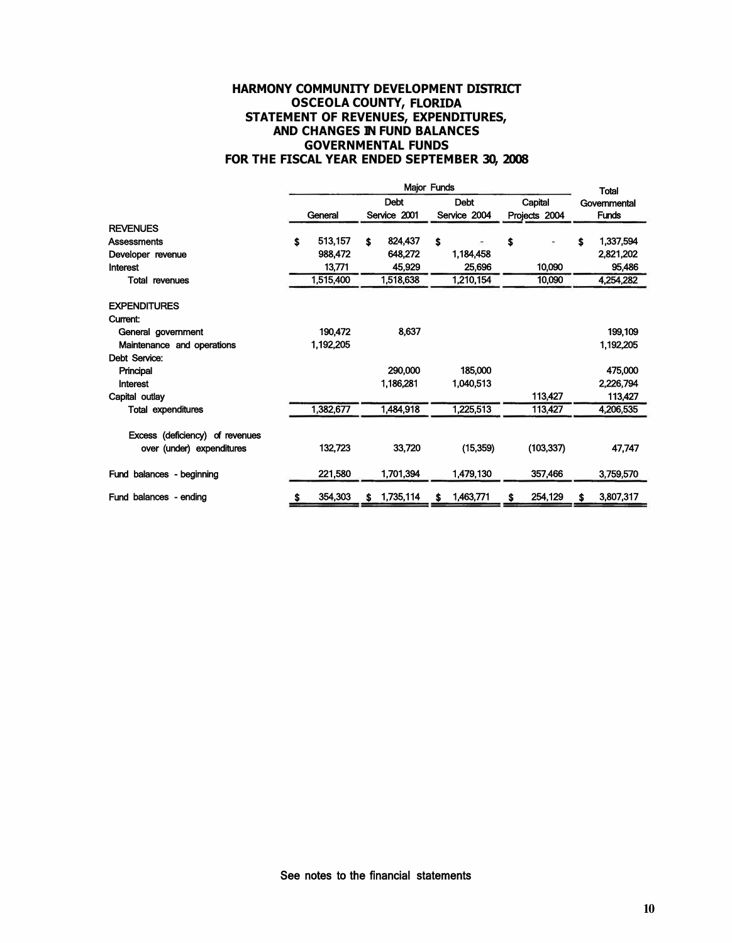## **HARMONY COMMUNITY DEVELOPMENT DISTRICT OSCEOLA COUNTY, FLORIDA STATEMENT OF REVENUES, EXPENDITURES, AND CHANGES IN FUND BALANCES GOVERNMENTAL FUNDS FOR THE FISCAL YEAR ENDED SEPTEMBER 30, 2008**

|                                 | <b>Major Funds</b> |           |             |                              |             |           |         |               | <b>Total</b> |           |
|---------------------------------|--------------------|-----------|-------------|------------------------------|-------------|-----------|---------|---------------|--------------|-----------|
|                                 |                    |           | <b>Debt</b> |                              | <b>Debt</b> |           | Capital |               | Governmental |           |
|                                 |                    | General   |             | Service 2001<br>Service 2004 |             |           |         | Projects 2004 | <b>Funds</b> |           |
| <b>REVENUES</b>                 |                    |           |             |                              |             |           |         |               |              |           |
| Assessments                     | \$                 | 513,157   | \$          | 824,437                      | \$          | ٠.        | \$      | t             | \$           | 1,337,594 |
| Developer revenue               |                    | 988,472   |             | 648,272                      |             | 1,184,458 |         |               |              | 2,821,202 |
| Interest                        |                    | 13,771    |             | 45,929                       |             | 25,696    |         | 10,090        |              | 95,486    |
| <b>Total revenues</b>           |                    | 1,515,400 |             | 1,518,638                    |             | 1,210,154 |         | 10,090        |              | 4,254,282 |
| <b>EXPENDITURES</b>             |                    |           |             |                              |             |           |         |               |              |           |
| <b>Current:</b>                 |                    |           |             |                              |             |           |         |               |              |           |
| General government              |                    | 190,472   |             | 8,637                        |             |           |         |               |              | 199,109   |
| Maintenance and operations      |                    | 1,192,205 |             |                              |             |           |         |               |              | 1,192,205 |
| Debt Service:                   |                    |           |             |                              |             |           |         |               |              |           |
| Principal                       |                    |           |             | 290,000                      |             | 185,000   |         |               |              | 475,000   |
| Interest                        |                    |           |             | 1,186,281                    |             | 1,040,513 |         |               |              | 2,226,794 |
| Capital outlay                  |                    |           |             |                              |             |           |         | 113,427       |              | 113,427   |
| <b>Total expenditures</b>       |                    | 1,382,677 |             | 1,484,918                    |             | 1,225,513 |         | 113,427       |              | 4,206,535 |
| Excess (deficiency) of revenues |                    |           |             |                              |             |           |         |               |              |           |
| over (under) expenditures       |                    | 132,723   |             | 33,720                       |             | (15, 359) |         | (103, 337)    |              | 47,747    |
| Fund balances - beginning       |                    | 221,580   |             | 1,701,394                    |             | 1,479,130 |         | 357,466       |              | 3,759,570 |
| Fund balances - ending          | s                  | 354,303   | \$          | 1,735,114                    | s           | 1,463,771 |         | 254,129       | S            | 3,807,317 |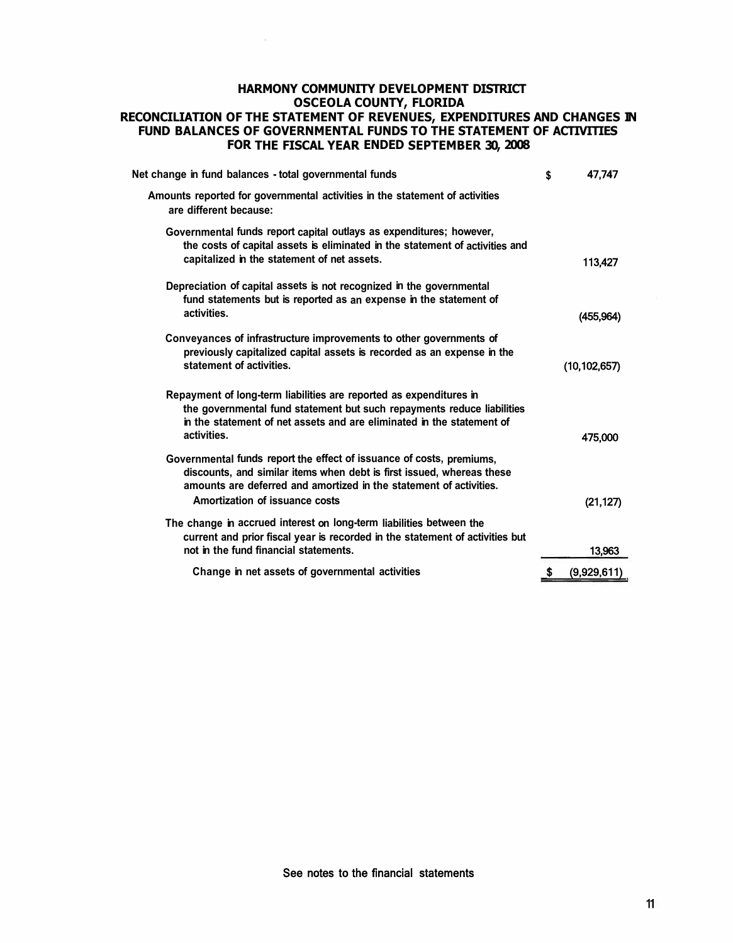## **HARMONY COMMUNITY DEVELOPMENT DISTRICT OSCEOLA COUNTY, FLORIDA RECONCILIATION OF THE STATEMENT OF REVENUES, EXPENDITURES AND CHANGES IN FUND BALANCES OF GOVERNMENTAL FUNDS TO THE STATEMENT OF ACTIVITIES FOR THE FISCAL YEAR ENDED SEPTEMBER 30, 2008**

| Net change in fund balances - total governmental funds                                                                                                                                                                                                | \$  | 47,747         |
|-------------------------------------------------------------------------------------------------------------------------------------------------------------------------------------------------------------------------------------------------------|-----|----------------|
| Amounts reported for governmental activities in the statement of activities<br>are different because:                                                                                                                                                 |     |                |
| Governmental funds report capital outlays as expenditures; however,<br>the costs of capital assets is eliminated in the statement of activities and<br>capitalized in the statement of net assets.                                                    |     | 113,427        |
| Depreciation of capital assets is not recognized in the governmental<br>fund statements but is reported as an expense in the statement of<br>activities.                                                                                              |     | (455, 964)     |
| Conveyances of infrastructure improvements to other governments of<br>previously capitalized capital assets is recorded as an expense in the<br>statement of activities.                                                                              |     | (10, 102, 657) |
| Repayment of long-term liabilities are reported as expenditures in<br>the governmental fund statement but such repayments reduce liabilities<br>in the statement of net assets and are eliminated in the statement of<br>activities.                  |     | 475,000        |
| Governmental funds report the effect of issuance of costs, premiums,<br>discounts, and similar items when debt is first issued, whereas these<br>amounts are deferred and amortized in the statement of activities.<br>Amortization of issuance costs |     | (21, 127)      |
| The change in accrued interest on long-term liabilities between the<br>current and prior fiscal year is recorded in the statement of activities but<br>not in the fund financial statements.                                                          |     | 13,963         |
| Change in net assets of governmental activities                                                                                                                                                                                                       | \$. | (9,929,611)    |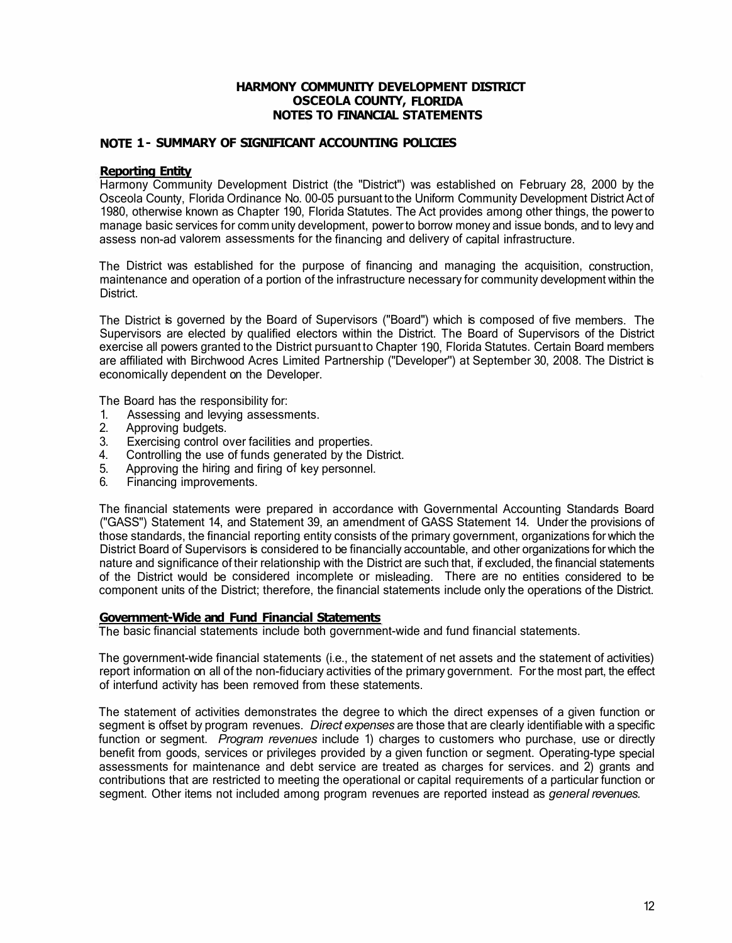## **HARMONY COMMUNITY DEVELOPMENT DISTRICT OSCEOLA COUNTY, FLORIDA NOTES TO FINANCIAL STATEMENTS**

## **NOTE 1 - SUMMARY OF SIGNIFICANT ACCOUNTING POLICIES**

## **Reporting Entity**

Harmony Community Development District (the "District") was established on February 28, 2000 by the Osceola County, Florida Ordinance No. 00-05 pursuant to the Uniform Community Development District Act of 1980, otherwise known as Chapter 190, Florida Statutes. The Act provides among other things, the power to manage basic services for comm unity development, power to borrow money and issue bonds, and to levy and assess non-ad valorem assessments for the financing and delivery of capital infrastructure.

The District was established for the purpose of financing and managing the acquisition, construction, maintenance and operation of a portion of the infrastructure necessary for community development within the District.

The District is governed by the Board of Supervisors ("Board") which is composed of five members. The Supervisors are elected by qualified electors within the District. The Board of Supervisors of the District exercise all powers granted to the District pursuant to Chapter 190, Florida Statutes. Certain Board members are affiliated with Birchwood Acres Limited Partnership ("Developer'') at September 30, 2008. The District is economically dependent on the Developer.

The Board has the responsibility for:

- 1. Assessing and levying assessments.
- 2. Approving budgets.
- 3. Exercising control over facilities and properties.
- 4. Controlling the use of funds generated by the District.
- 5. Approving the hiring and firing of key personnel.
- 6. Financing improvements.

The financial statements were prepared in accordance with Governmental Accounting Standards Board ("GASS") Statement 14, and Statement 39, an amendment of GASS Statement 14. Under the provisions of those standards, the financial reporting entity consists of the primary government, organizations for which the District Board of Supervisors is considered to be financially accountable, and other organizations for which the nature and significance of their relationship with the District are such that, if excluded, the financial statements of the District would be considered incomplete or misleading. There are no entities considered to be component units of the District; therefore, the financial statements include only the operations of the District.

## **Government-Wide and Fund Financial Statements**

The basic financial statements include both government-wide and fund financial statements.

The government-wide financial statements (i.e., the statement of net assets and the statement of activities) report information on all of the non-fiduciary activities of the primary government. For the most part, the effect of interfund activity has been removed from these statements.

The statement of activities demonstrates the degree to which the direct expenses of a given function or segment is offset by program revenues. *Direct expenses* are those that are clearly identifiable with a specific function or segment. *Program revenues* include 1) charges to customers who purchase, use or directly benefit from goods, services or privileges provided by a given function or segment. Operating-type special assessments for maintenance and debt service are treated as charges for services. and 2) grants and contributions that are restricted to meeting the operational or capital requirements of a particular function or segment. Other items not included among program revenues are reported instead as *general revenues.*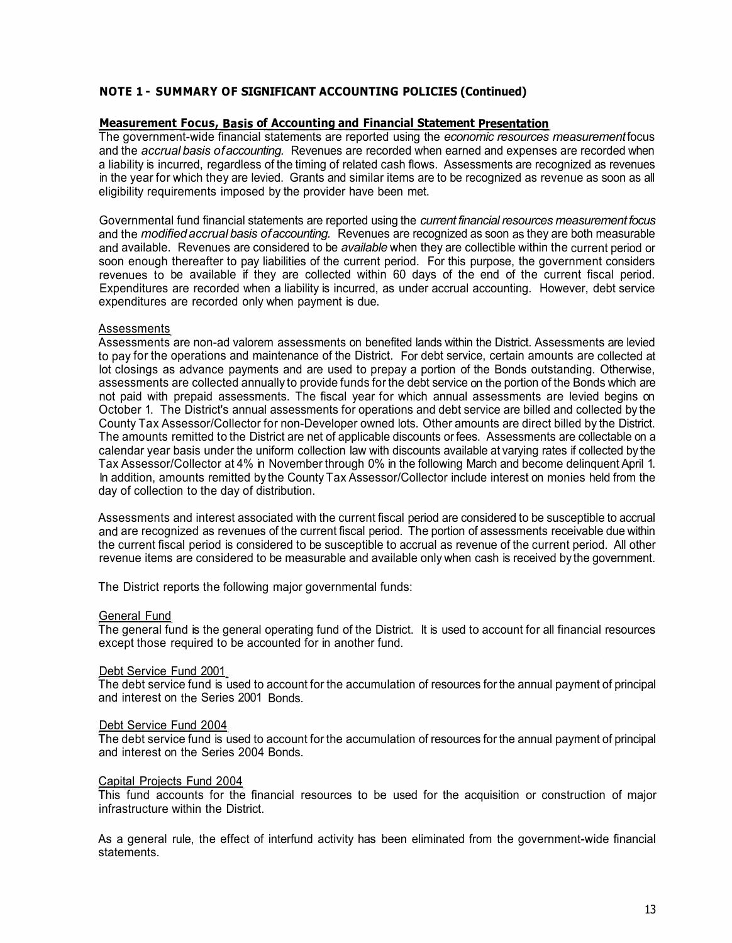# **NOTE 1 - SUMMARY OF SIGNIFICANT ACCOUNTING POLICIES (Continued)**

### **Measurement Focus, Basis of Accounting and Financial Statement Presentation**

The government-wide financial statements are reported using the *economic resources measurement* focus and the *accrual basis of accounting.* Revenues are recorded when earned and expenses are recorded when a liability is incurred, regardless of the timing of related cash flows. Assessments are recognized as revenues in the year for which they are levied. Grants and similar items are to be recognized as revenue as soon as all eligibility requirements imposed by the provider have been met.

Governmental fund financial statements are reported using the *current financial resources measurement focus*  and the *modified accrual basis of accounting.* Revenues are recognized as soon as they are both measurable and available. Revenues are considered to be *available* when they are collectible within the current period or soon enough thereafter to pay liabilities of the current period. For this purpose, the government considers revenues to be available if they are collected within 60 days of the end of the current fiscal period. Expenditures are recorded when a liability is incurred, as under accrual accounting. However, debt service expenditures are recorded only when payment is due.

## **Assessments**

Assessments are non-ad valorem assessments on benefited lands within the District. Assessments are levied to pay for the operations and maintenance of the District. For debt service, certain amounts are collected at lot closings as advance payments and are used to prepay a portion of the Bonds outstanding. Otherwise, assessments are collected annually to provide funds for the debt service on the portion of the Bonds which are not paid with prepaid assessments. The fiscal year for which annual assessments are levied begins on October 1. The District's annual assessments for operations and debt service are billed and collected by the County Tax Assessor/Collector for non-Developer owned lots. Other amounts are direct billed by the District. The amounts remitted to the District are net of applicable discounts or fees. Assessments are collectable on a calendar year basis under the uniform collection law with discounts available at varying rates if collected by the Tax Assessor/Collector at 4% in November through 0% in the following March and become delinquent April 1. In addition, amounts remitted by the County Tax Assessor/Collector include interest on monies held from the day of collection to the day of distribution.

Assessments and interest associated with the current fiscal period are considered to be susceptible to accrual and are recognized as revenues of the current fiscal period. The portion of assessments receivable due within the current fiscal period is considered to be susceptible to accrual as revenue of the current period. All other revenue items are considered to be measurable and available only when cash is received by the government.

The District reports the following major governmental funds:

### General Fund

The general fund is the general operating fund of the District. It is used to account for all financial resources except those required to be accounted for in another fund.

### Debt Service Fund 2001

The debt service fund is used to account for the accumulation of resources for the annual payment of principal and interest on the Series 2001 Bonds.

### Debt Service Fund 2004

The debt service fund is used to account for the accumulation of resources for the annual payment of principal and interest on the Series 2004 Bonds.

#### Capital Projects Fund 2004

This fund accounts for the financial resources to be used for the acquisition or construction of major infrastructure within the District.

As a general rule, the effect of interfund activity has been eliminated from the government-wide financial statements.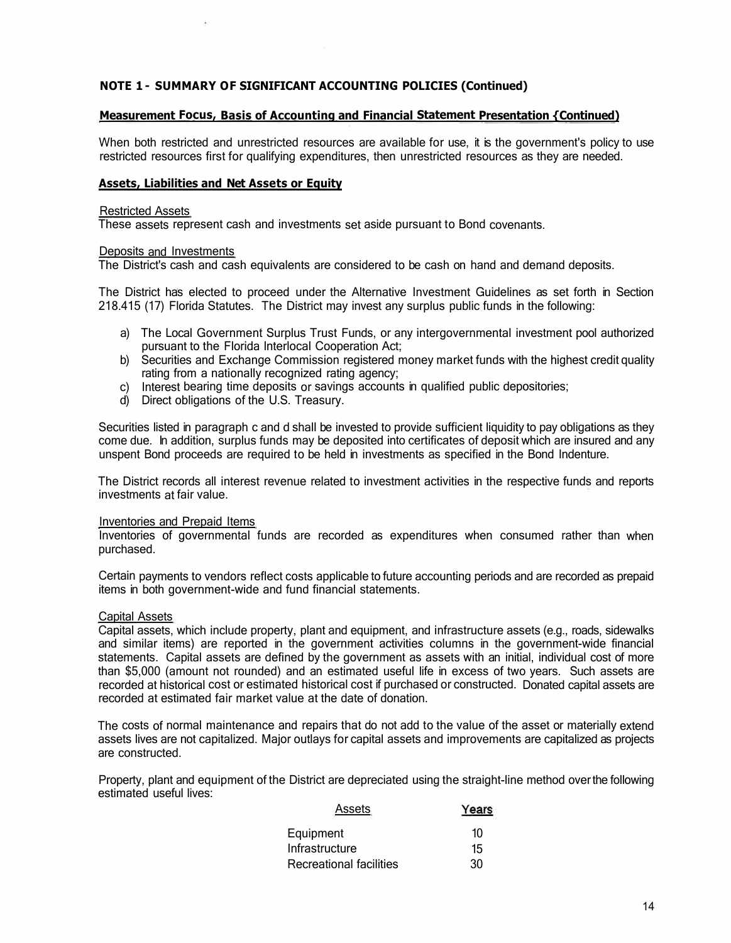# **NOTE 1 - SUMMARY OF SIGNIFICANT ACCOUNTING POLICIES (Continued)**

## **Measurement Focus, Basis of Accounting and Financial Statement Presentation {Continued)**

When both restricted and unrestricted resources are available for use, it is the government's policy to use restricted resources first for qualifying expenditures, then unrestricted resources as they are needed.

### **Assets, Liabilities and Net Assets or Equity**

#### Restricted Assets

These assets represent cash and investments set aside pursuant to Bond covenants.

### Deposits and Investments

The District's cash and cash equivalents are considered to be cash on hand and demand deposits.

The District has elected to proceed under the Alternative Investment Guidelines as set forth in Section 218.415 (17) Florida Statutes. The District may invest any surplus public funds in the following:

- a) The Local Government Surplus Trust Funds, or any intergovernmental investment pool authorized pursuant to the Florida lnterlocal Cooperation Act;
- b) Securities and Exchange Commission registered money market funds with the highest credit quality rating from a nationally recognized rating agency;
- c) Interest bearing time deposits or savings accounts in qualified public depositories;
- d) Direct obligations of the U.S. Treasury.

Securities listed in paragraph c and d shall be invested to provide sufficient liquidity to pay obligations as they come due. In addition, surplus funds may be deposited into certificates of deposit which are insured and any unspent Bond proceeds are required to be held in investments as specified in the Bond Indenture.

The District records all interest revenue related to investment activities in the respective funds and reports investments at fair value.

#### Inventories and Prepaid Items

Inventories of governmental funds are recorded as expenditures when consumed rather than when purchased.

Certain payments to vendors reflect costs applicable to future accounting periods and are recorded as prepaid items in both government-wide and fund financial statements.

## Capital Assets

Capital assets, which include property, plant and equipment, and infrastructure assets (e.g., roads, sidewalks and similar items) are reported in the government activities columns in the government-wide financial statements. Capital assets are defined by the government as assets with an initial, individual cost of more than \$5,000 (amount not rounded) and an estimated useful life in excess of two years. Such assets are recorded at historical cost or estimated historical cost if purchased or constructed. Donated capital assets are recorded at estimated fair market value at the date of donation.

The costs of normal maintenance and repairs that do not add to the value of the asset or materially extend assets lives are not capitalized. Major outlays for capital assets and improvements are capitalized as projects are constructed.

Property, plant and equipment of the District are depreciated using the straight-line method over the following estimated useful lives:

| Assets                  | Years |
|-------------------------|-------|
| Equipment               | 10    |
| Infrastructure          | 15    |
| Recreational facilities | 30    |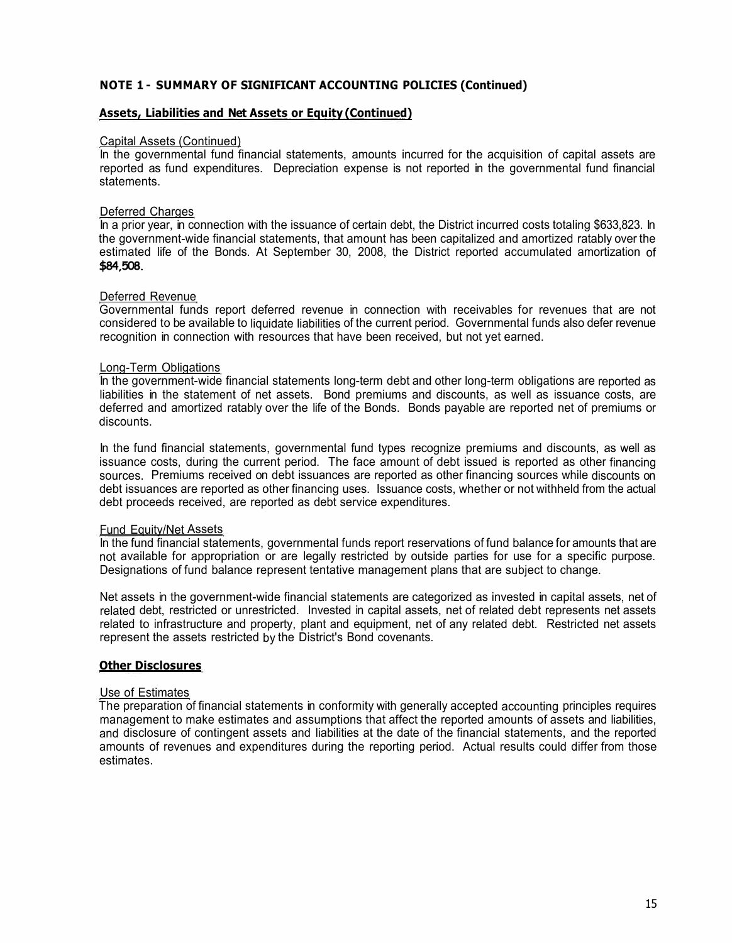# **NOTE 1 - SUMMARY OF SIGNIFICANT ACCOUNTING POLICIES (Continued)**

## **Assets, Liabilities and Net Assets or Equity (Continued)**

### Capital Assets (Continued)

In the governmental fund financial statements, amounts incurred for the acquisition of capital assets are reported as fund expenditures. Depreciation expense is not reported in the governmental fund financial **statements** 

### Deferred Charges

In a prior year, in connection with the issuance of certain debt, the District incurred costs totaling \$633,823. In the government-wide financial statements, that amount has been capitalized and amortized ratably over the estimated life of the Bonds. At September 30, 2008, the District reported accumulated amortization of **\$84,508.** 

### Deferred Revenue

Governmental funds report deferred revenue in connection with receivables for revenues that are not considered to be available to liquidate liabilities of the current period. Governmental funds also defer revenue recognition in connection with resources that have been received, but not yet earned.

### Long-Term Obligations

In the government-wide financial statements long-term debt and other long-term obligations are reported as liabilities in the statement of net assets. Bond premiums and discounts, as well as issuance costs, are deferred and amortized ratably over the life of the Bonds. Bonds payable are reported net of premiums or discounts.

In the fund financial statements, governmental fund types recognize premiums and discounts, as well as issuance costs, during the current period. The face amount of debt issued is reported as other financing sources. Premiums received on debt issuances are reported as other financing sources while discounts on debt issuances are reported as other financing uses. Issuance costs, whether or not withheld from the actual debt proceeds received, are reported as debt service expenditures.

### Fund Equity/Net Assets

In the fund financial statements, governmental funds report reservations of fund balance for amounts that are not available for appropriation or are legally restricted by outside parties for use for a specific purpose. Designations of fund balance represent tentative management plans that are subject to change.

Net assets in the government-wide financial statements are categorized as invested in capital assets, net of related debt, restricted or unrestricted. Invested in capital assets, net of related debt represents net assets related to infrastructure and property, plant and equipment, net of any related debt. Restricted net assets represent the assets restricted by the District's Bond covenants.

### **Other Disclosures**

### Use of Estimates

The preparation of financial statements in conformity with generally accepted accounting principles requires management to make estimates and assumptions that affect the reported amounts of assets and liabilities, and disclosure of contingent assets and liabilities at the date of the financial statements, and the reported amounts of revenues and expenditures during the reporting period. Actual results could differ from those estimates.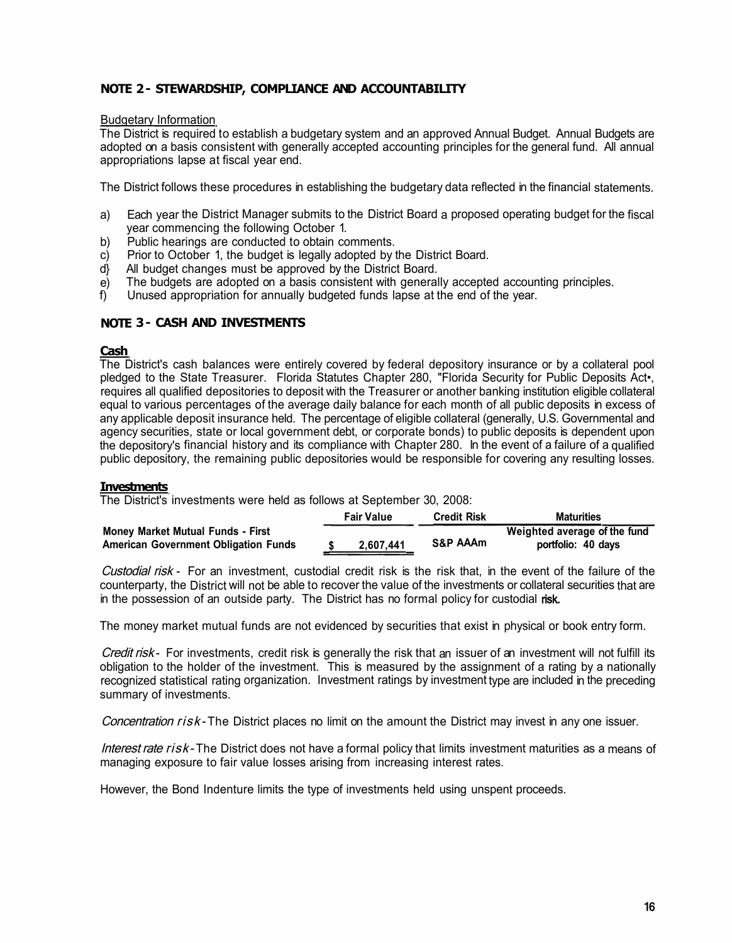# **NOTE 2 - STEWARDSHIP, COMPLIANCE AND ACCOUNTABILITY**

### Budgetary Information

The District is required to establish a budgetary system and an approved Annual Budget. Annual Budgets are adopted on a basis consistent with generally accepted accounting principles for the general fund. All annual appropriations lapse at fiscal year end.

The District follows these procedures in establishing the budgetary data reflected in the financial statements.

- a) Each year the District Manager submits to the District Board a proposed operating budget for the fiscal year commencing the following October 1.
- b) Public hearings are conducted to obtain comments.
- c) Prior to October 1, the budget is legally adopted by the District Board.
- d} All budget changes must be approved by the District Board.
- e) The budgets are adopted on a basis consistent with generally accepted accounting principles.<br>f) Unused appropriation for annually budgeted funds lapse at the end of the year.
- Unused appropriation for annually budgeted funds lapse at the end of the year.

## **NOTE 3 - CASH AND INVESTMENTS**

## **Cash**

The District's cash balances were entirely covered by federal depository insurance or by a collateral pool pledged to the State Treasurer. Florida Statutes Chapter 280, "Florida Security for Public Deposits Act•, requires all qualified depositories to deposit with the Treasurer or another banking institution eligible collateral equal to various percentages of the average daily balance for each month of all public deposits in excess of any applicable deposit insurance held. The percentage of eligible collateral (generally, U.S. Governmental and agency securities, state or local government debt, or corporate bonds) to public deposits is dependent upon the depository's financial history and its compliance with Chapter 280. In the event of a failure of a qualified public depository, the remaining public depositories would be responsible for covering any resulting losses.

### **Investments**

The District's investments were held as follows at September 30, 2008:

|                                             | <b>Fair Value</b> | <b>Credit Risk</b>  | <b>Maturities</b>            |
|---------------------------------------------|-------------------|---------------------|------------------------------|
| <b>Money Market Mutual Funds - First</b>    |                   |                     | Weighted average of the fund |
| <b>American Government Obligation Funds</b> | 2,607,441         | <b>S&amp;P AAAm</b> | portfolio: 40 days           |

Custodial risk - For an investment, custodial credit risk is the risk that, in the event of the failure of the counterparty, the District will not be able to recover the value of the investments or collateral securities that are in the possession of an outside party. The District has no formal policy for custodial risk.

The money market mutual funds are not evidenced by securities that exist in physical or book entry form.

Credit risk - For investments, credit risk is generally the risk that an issuer of an investment will not fulfill its obligation to the holder of the investment. This is measured by the assignment of a rating by a nationally recognized statistical rating organization. Investment ratings by investment type are included in the preceding summary of investments.

Concentration risk-The District places no limit on the amount the District may invest in any one issuer.

Interest rate risk-The District does not have a formal policy that limits investment maturities as a means of managing exposure to fair value losses arising from increasing interest rates.

However, the Bond Indenture limits the type of investments held using unspent proceeds.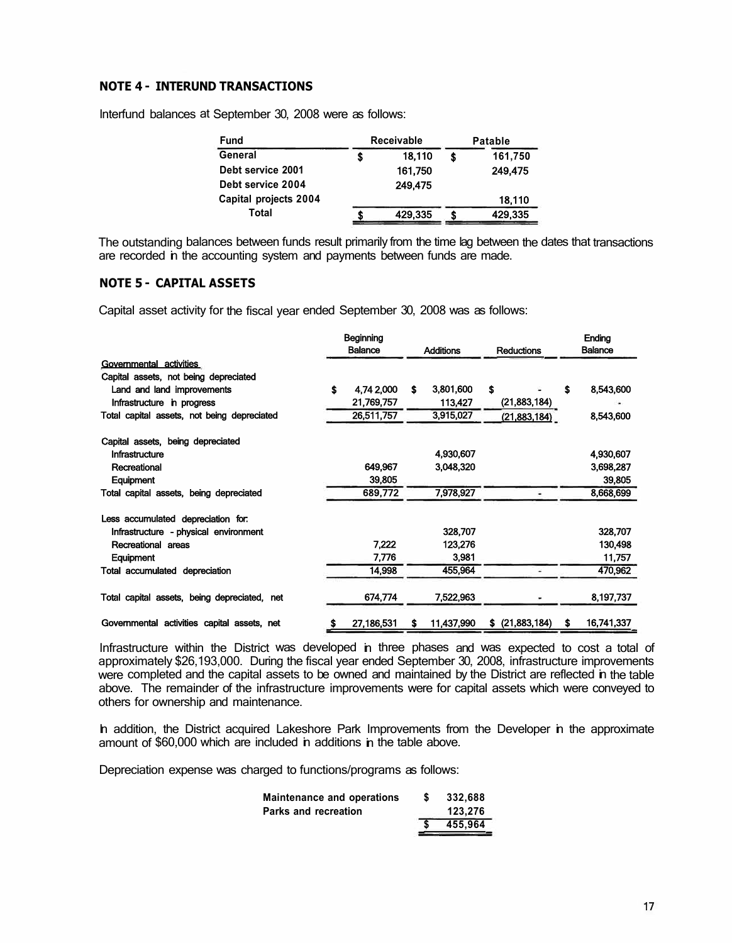## **NOTE 4 - INTERUND TRANSACTIONS**

lnterfund balances at September 30, 2008 were as follows:

| Fund                  | <b>Receivable</b> | <b>Patable</b> |         |  |  |
|-----------------------|-------------------|----------------|---------|--|--|
| General               | 18.110            |                | 161,750 |  |  |
| Debt service 2001     | 161.750           |                | 249.475 |  |  |
| Debt service 2004     | 249.475           |                |         |  |  |
| Capital projects 2004 |                   |                | 18,110  |  |  |
| Total                 | 429,335           |                | 429,335 |  |  |

The outstanding balances between funds result primarily from the time lag between the dates that transactions are recorded in the accounting system and payments between funds are made.

## **NOTE 5 - CAPITAL ASSETS**

Capital asset activity for the fiscal year ended September 30, 2008 was as follows:

|                                              |    | Beginning      |     |                  |    |                   |    | Ending         |
|----------------------------------------------|----|----------------|-----|------------------|----|-------------------|----|----------------|
|                                              |    | <b>Balance</b> |     | <b>Additions</b> |    | <b>Reductions</b> |    | <b>Balance</b> |
| Governmental activities                      |    |                |     |                  |    |                   |    |                |
| Capital assets, not being depreciated        |    |                |     |                  |    |                   |    |                |
| Land and land improvements                   | \$ | 4.74 2.000     | \$. | 3,801,600        | \$ |                   | \$ | 8,543,600      |
| Infrastructure in progress                   |    | 21,769,757     |     | 113,427          |    | (21,883,184)      |    |                |
| Total capital assets, not being depreciated  |    | 26,511,757     |     | 3,915,027        |    | (21,883,184)      |    | 8,543,600      |
| Capital assets, being depreciated            |    |                |     |                  |    |                   |    |                |
| Infrastructure                               |    |                |     | 4,930,607        |    |                   |    | 4,930,607      |
| Recreational                                 |    | 649.967        |     | 3.048.320        |    |                   |    | 3,698,287      |
| Equipment                                    |    | 39,805         |     |                  |    |                   |    | 39,805         |
| Total capital assets, being depreciated      |    | 689,772        |     | 7,978,927        |    |                   |    | 8,668,699      |
| Less accumulated depreciation for.           |    |                |     |                  |    |                   |    |                |
| Infrastructure - physical environment        |    |                |     | 328,707          |    |                   |    | 328,707        |
| Recreational areas                           |    | 7,222          |     | 123.276          |    |                   |    | 130,498        |
| Equipment                                    |    | 7,776          |     | 3,981            |    |                   |    | 11,757         |
| Total accumulated depreciation               |    | 14,998         |     | 455,964          |    |                   |    | 470,962        |
| Total capital assets, being depreciated, net |    | 674.774        |     | 7,522,963        |    |                   |    | 8,197,737      |
| Governmental activities capital assets, net  | S  | 27,186,531     | S   | 11,437,990       |    | $$$ (21,883,184)  |    | 16,741,337     |

Infrastructure within the District was developed in three phases and was expected to cost a total of approximately \$26,193,000. During the fiscal year ended September 30, 2008, infrastructure improvements were completed and the capital assets to be owned and maintained by the District are reflected in the table above. The remainder of the infrastructure improvements were for capital assets which were conveyed to others for ownership and maintenance.

In addition, the District acquired Lakeshore Park Improvements from the Developer in the approximate amount of \$60,000 which are included in additions in the table above.

Depreciation expense was charged to functions/programs as follows:

| S | 332.688 |
|---|---------|
|   | 123.276 |
|   | 455.964 |
|   |         |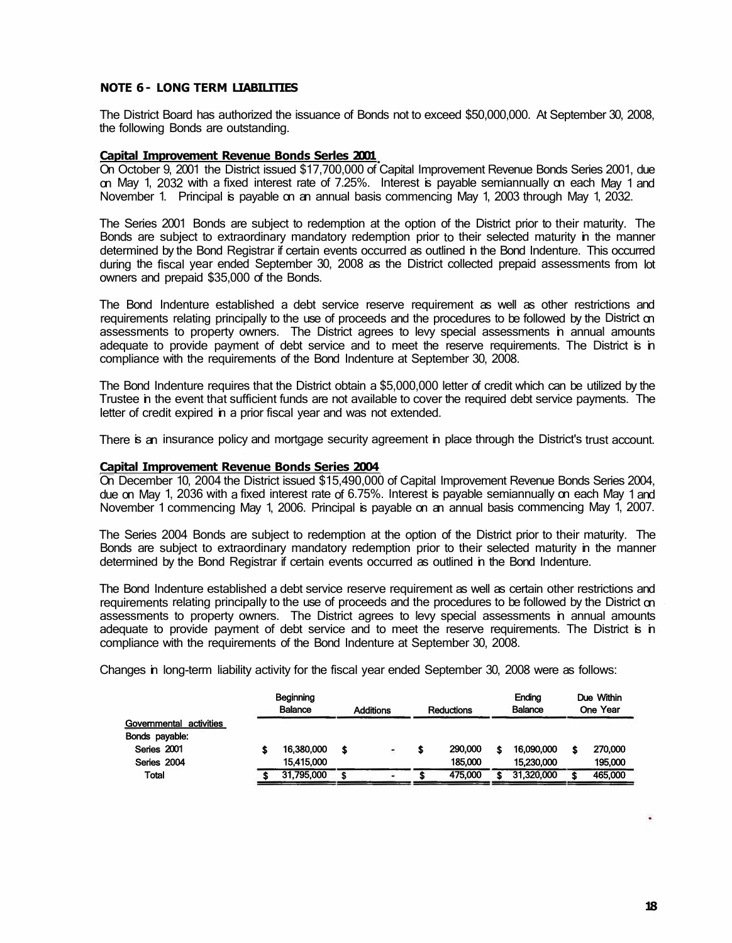## **NOTE 6 - LONG TERM LIABILITIES**

The District Board has authorized the issuance of Bonds not to exceed \$50,000,000. At September 30, 2008, the following Bonds are outstanding.

### **Capital Improvement Revenue Bonds Serles 2001**

On October 9, 2001 the District issued \$17,700,000 of Capital Improvement Revenue Bonds Series 2001, due on May 1, 2032 with a fixed interest rate of 7.25%. Interest is payable semiannually on each May 1 and November 1. Principal is payable on an annual basis commencing May 1, 2003 through May 1, 2032.

The Series 2001 Bonds are subject to redemption at the option of the District prior to their maturity. The Bonds are subject to extraordinary mandatory redemption prior to their selected maturity in the manner determined by the Bond Registrar if certain events occurred as outlined in the Bond Indenture. This occurred during the fiscal year ended September 30, 2008 as the District collected prepaid assessments from lot owners and prepaid \$35,000 of the Bonds.

The Bond Indenture established a debt service reserve requirement as well as other restrictions and requirements relating principally to the use of proceeds and the procedures to be followed by the District on assessments to property owners. The District agrees to levy special assessments in annual amounts adequate to provide payment of debt service and to meet the reserve requirements. The District is in compliance with the requirements of the Bond Indenture at September 30, 2008.

The Bond Indenture requires that the District obtain a \$5,000,000 letter of credit which can be utilized by the Trustee in the event that sufficient funds are not available to cover the required debt service payments. The letter of credit expired in a prior fiscal year and was not extended.

There is an insurance policy and mortgage security agreement in place through the District's trust account.

### **Capital Improvement Revenue Bonds Series 2004**

On December 10, 2004 the District issued \$15,490,000 of Capital Improvement Revenue Bonds Series 2004, due on May 1, 2036 with a fixed interest rate of 6.75%. Interest is payable semiannually on each May 1 and November 1 commencing May 1, 2006. Principal is payable on an annual basis commencing May 1, 2007.

The Series 2004 Bonds are subject to redemption at the option of the District prior to their maturity. The Bonds are subject to extraordinary mandatory redemption prior to their selected maturity in the manner determined by the Bond Registrar if certain events occurred as outlined in the Bond Indenture.

The Bond Indenture established a debt service reserve requirement as well as certain other restrictions and requirements relating principally to the use of proceeds and the procedures to be followed by the District on assessments to property owners. The District agrees to levy special assessments in annual amounts adequate to provide payment of debt service and to meet the reserve requirements. The District is in compliance with the requirements of the Bond Indenture at September 30, 2008.

Changes in long-term liability activity for the fiscal year ended September 30, 2008 were as follows:

|                         |   | Beginning<br><b>Balance</b> | <b>Additions</b> |  | <b>Reductions</b> |         | Endina<br><b>Balance</b> |            | Due Within<br>One Year |         |
|-------------------------|---|-----------------------------|------------------|--|-------------------|---------|--------------------------|------------|------------------------|---------|
| Governmental activities |   |                             |                  |  |                   |         |                          |            |                        |         |
| Bonds payable:          |   |                             |                  |  |                   |         |                          |            |                        |         |
| Series 2001             | S | 16,380,000                  | S                |  | S                 | 290,000 | S                        | 16.090.000 | \$                     | 270,000 |
| Series 2004             |   | 15.415.000                  |                  |  |                   | 185.000 |                          | 15.230.000 |                        | 195,000 |
| Total                   |   | 31,795,000                  |                  |  |                   | 475.000 |                          | 31,320,000 | \$                     | 465,000 |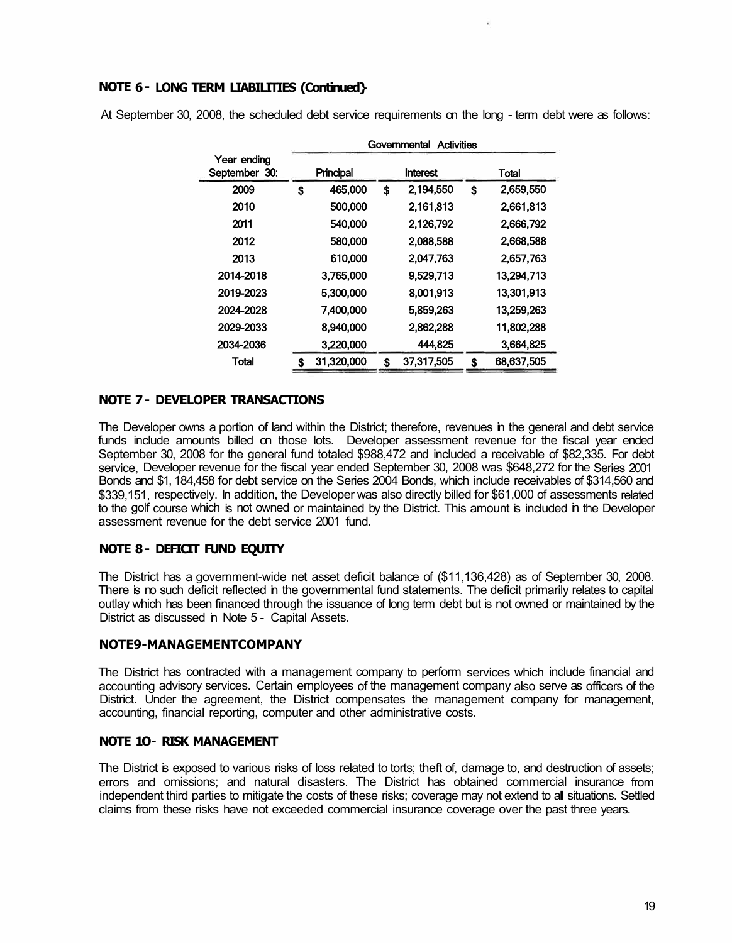# **NOTE 6 - LONG TERM LIABILITIES (Continued}**

|                              | Governmental<br><b>Activities</b> |            |    |            |    |            |  |  |  |
|------------------------------|-----------------------------------|------------|----|------------|----|------------|--|--|--|
| Year ending<br>September 30: |                                   | Principal  |    | Interest   |    | Total      |  |  |  |
| 2009                         | \$                                | 465,000    | \$ | 2,194,550  | \$ | 2,659,550  |  |  |  |
| 2010                         |                                   | 500,000    |    | 2,161,813  |    | 2,661,813  |  |  |  |
| 2011                         |                                   | 540,000    |    | 2,126,792  |    | 2,666,792  |  |  |  |
| 2012                         |                                   | 580,000    |    | 2,088,588  |    | 2.668,588  |  |  |  |
| 2013                         |                                   | 610,000    |    | 2.047.763  |    | 2,657,763  |  |  |  |
| 2014-2018                    |                                   | 3.765,000  |    | 9.529.713  |    | 13.294.713 |  |  |  |
| 2019-2023                    |                                   | 5,300,000  |    | 8,001,913  |    | 13,301,913 |  |  |  |
| 2024-2028                    |                                   | 7,400,000  |    | 5,859,263  |    | 13,259,263 |  |  |  |
| 2029-2033                    |                                   | 8,940,000  |    | 2,862,288  |    | 11,802,288 |  |  |  |
| 2034-2036                    |                                   | 3,220,000  |    | 444.825    |    | 3,664,825  |  |  |  |
| Total                        | S                                 | 31.320.000 | S  | 37.317.505 | S  | 68.637.505 |  |  |  |

At September 30, 2008, the scheduled debt service requirements on the long - term debt were as follows:

## **NOTE 7 - DEVELOPER TRANSACTIONS**

The Developer owns a portion of land within the District; therefore, revenues in the general and debt service funds include amounts billed on those lots. Developer assessment revenue for the fiscal year ended September 30, 2008 for the general fund totaled \$988,472 and included a receivable of \$82,335. For debt service, Developer revenue for the fiscal year ended September 30, 2008 was \$648,272 for the Series 2001 Bonds and \$1, 184,458 for debt service on the Series 2004 Bonds, which include receivables of \$314,560 and \$339,151, respectively. In addition, the Developer was also directly billed for \$61,000 of assessments related to the golf course which is not owned or maintained by the District. This amount is included in the Developer assessment revenue for the debt service 2001 fund.

## **NOTE 8 - DEFICIT FUND EQUITY**

The District has a government-wide net asset deficit balance of (\$11,136,428) as of September 30, 2008. There is no such deficit reflected in the governmental fund statements. The deficit primarily relates to capital outlay which has been financed through the issuance of long term debt but is not owned or maintained by the District as discussed in Note 5 - Capital Assets.

### **NOTE9-MANAGEMENTCOMPANY**

The District has contracted with a management company to perform services which include financial and accounting advisory services. Certain employees of the management company also serve as officers of the District. Under the agreement, the District compensates the management company for management, accounting, financial reporting, computer and other administrative costs.

## **NOTE 10- RISK MANAGEMENT**

The District is exposed to various risks of loss related to torts; theft of, damage to, and destruction of assets; errors and omissions; and natural disasters. The District has obtained commercial insurance from independent third parties to mitigate the costs of these risks; coverage may not extend to all situations. Settled claims from these risks have not exceeded commercial insurance coverage over the past three years.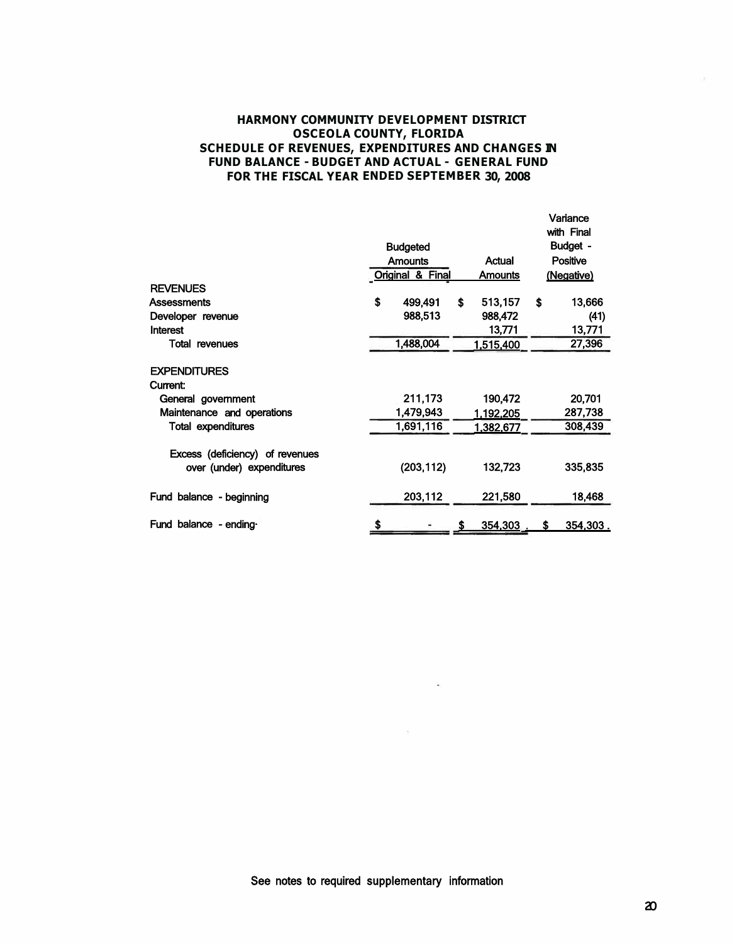## **HARMONY COMMUNITY DEVELOPMENT DISTRICT OSCEOLA COUNTY, FLORIDA SCHEDULE OF REVENUES, EXPENDITURES AND CHANGES IN FUND BALANCE - BUDGET AND ACTUAL - GENERAL FUND FOR THE FISCAL YEAR ENDED SEPTEMBER 30, 2008**

|                                 |                  |                 |    | Variance<br>with Final |  |
|---------------------------------|------------------|-----------------|----|------------------------|--|
|                                 | <b>Budgeted</b>  |                 |    | Budget -               |  |
|                                 | <b>Amounts</b>   | <b>Positive</b> |    |                        |  |
|                                 | Original & Final | <b>Amounts</b>  |    | (Negative)             |  |
| <b>REVENUES</b>                 |                  |                 |    |                        |  |
| <b>Assessments</b>              | \$<br>499,491    | \$<br>513,157   | Ŝ. | 13,666                 |  |
| Developer revenue               | 988,513          | 988,472         |    | (41)                   |  |
| Interest                        |                  | 13,771          |    | 13,771                 |  |
| <b>Total revenues</b>           | 1,488,004        | 1,515,400       |    | 27,396                 |  |
| <b>EXPENDITURES</b>             |                  |                 |    |                        |  |
| Current:                        |                  |                 |    |                        |  |
| General government              | 211,173          | 190,472         |    | 20,701                 |  |
| Maintenance and operations      | 1,479,943        | 1,192,205       |    | 287,738                |  |
| <b>Total expenditures</b>       | 1,691,116        | 1,382,677       |    | 308,439                |  |
| Excess (deficiency) of revenues |                  |                 |    |                        |  |
| over (under) expenditures       | (203, 112)       | 132,723         |    | 335,835                |  |
| Fund balance - beginning        | 203,112          | 221,580         |    | 18,468                 |  |
| Fund balance - ending           | \$               | \$<br>354,303.  | S  | 354,303.               |  |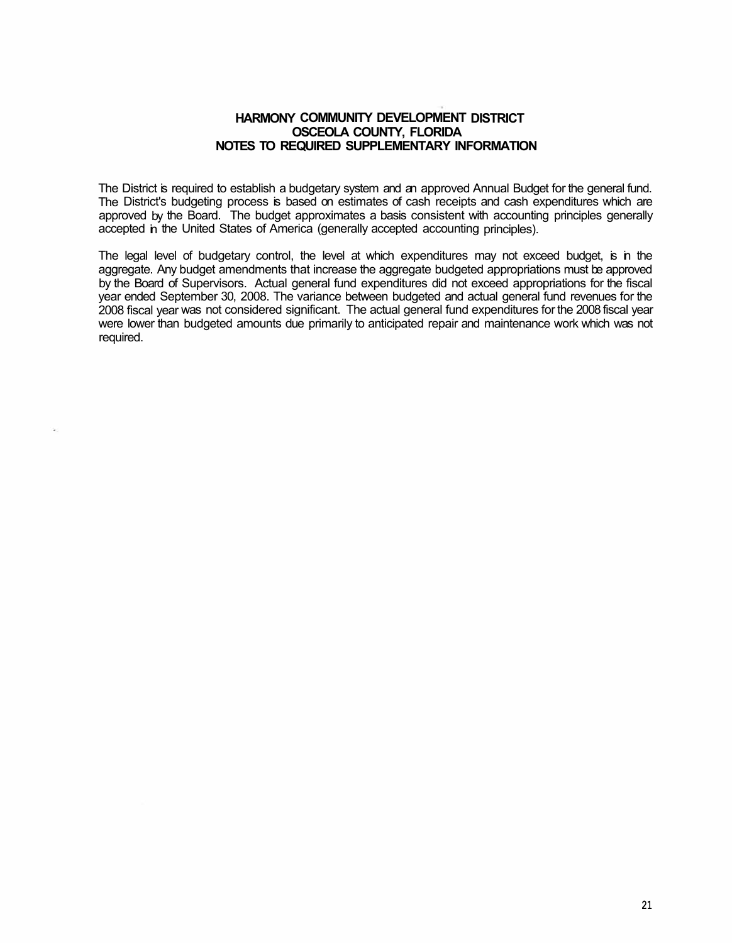## **HARMONY COMMUNITY DEVELOPMENT DISTRICT OSCEOLA COUNTY, FLORIDA NOTES TO REQUIRED SUPPLEMENTARY INFORMATION**

The District is required to establish a budgetary system and an approved Annual Budget for the general fund. The District's budgeting process is based on estimates of cash receipts and cash expenditures which are approved by the Board. The budget approximates a basis consistent with accounting principles generally accepted in the United States of America (generally accepted accounting principles).

The legal level of budgetary control, the level at which expenditures may not exceed budget, is in the aggregate. Any budget amendments that increase the aggregate budgeted appropriations must be approved by the Board of Supervisors. Actual general fund expenditures did not exceed appropriations for the fiscal year ended September 30, 2008. The variance between budgeted and actual general fund revenues for the 2008 fiscal year was not considered significant. The actual general fund expenditures for the 2008 fiscal year were lower than budgeted amounts due primarily to anticipated repair and maintenance work which was not required.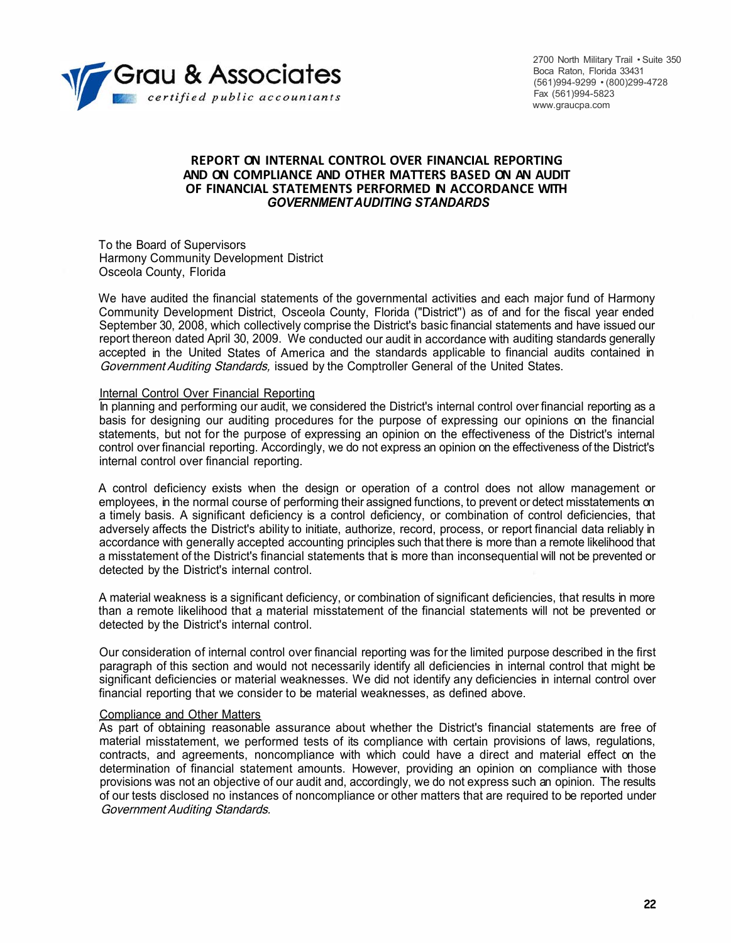

2700 North Military Trail • Suite 350 Boca Raton, Florida 33431 (561)994-9299 • (800)299-4728 Fax (561)994-5823 www.graucpa.com

## **REPORT ON INTERNAL CONTROL OVER FINANCIAL REPORTING AND ON COMPLIANCE AND OTHER MATTERS BASED ON AN AUDIT OF FINANCIAL STATEMENTS PERFORMED IN ACCORDANCE WITH**  *GOVERNMENT AUDITING STANDARDS*

To the Board of Supervisors Harmony Community Development District Osceola County, Florida

We have audited the financial statements of the governmental activities and each major fund of Harmony Community Development District, Osceola County, Florida ("District'') as of and for the fiscal year ended September 30, 2008, which collectively comprise the District's basic financial statements and have issued our report thereon dated April 30, 2009. We conducted our audit in accordance with auditing standards generally accepted in the United States of America and the standards applicable to financial audits contained in Government Auditing Standards, issued by the Comptroller General of the United States.

#### Internal Control Over Financial Reporting

In planning and performing our audit, we considered the District's internal control over financial reporting as a basis for designing our auditing procedures for the purpose of expressing our opinions on the financial statements, but not for the purpose of expressing an opinion on the effectiveness of the District's internal control over financial reporting. Accordingly, we do not express an opinion on the effectiveness of the District's internal control over financial reporting.

A control deficiency exists when the design or operation of a control does not allow management or employees, in the normal course of performing their assigned functions, to prevent or detect misstatements on a timely basis. A significant deficiency is a control deficiency, or combination of control deficiencies, that adversely affects the District's ability to initiate, authorize, record, process, or report financial data reliably in accordance with generally accepted accounting principles such that there is more than a remote likelihood that a misstatement of the District's financial statements that is more than inconsequential will not be prevented or detected by the District's internal control.

A material weakness is a significant deficiency, or combination of significant deficiencies, that results in more than a remote likelihood that a material misstatement of the financial statements will not be prevented or detected by the District's internal control.

Our consideration of internal control over financial reporting was for the limited purpose described in the first paragraph of this section and would not necessarily identify all deficiencies in internal control that might be significant deficiencies or material weaknesses. We did not identify any deficiencies in internal control over financial reporting that we consider to be material weaknesses, as defined above.

### Compliance and Other Matters

As part of obtaining reasonable assurance about whether the District's financial statements are free of material misstatement, we performed tests of its compliance with certain provisions of laws, regulations, contracts, and agreements, noncompliance with which could have a direct and material effect on the determination of financial statement amounts. However, providing an opinion on compliance with those provisions was not an objective of our audit and, accordingly, we do not express such an opinion. The results of our tests disclosed no instances of noncompliance or other matters that are required to be reported under Government Auditing Standards.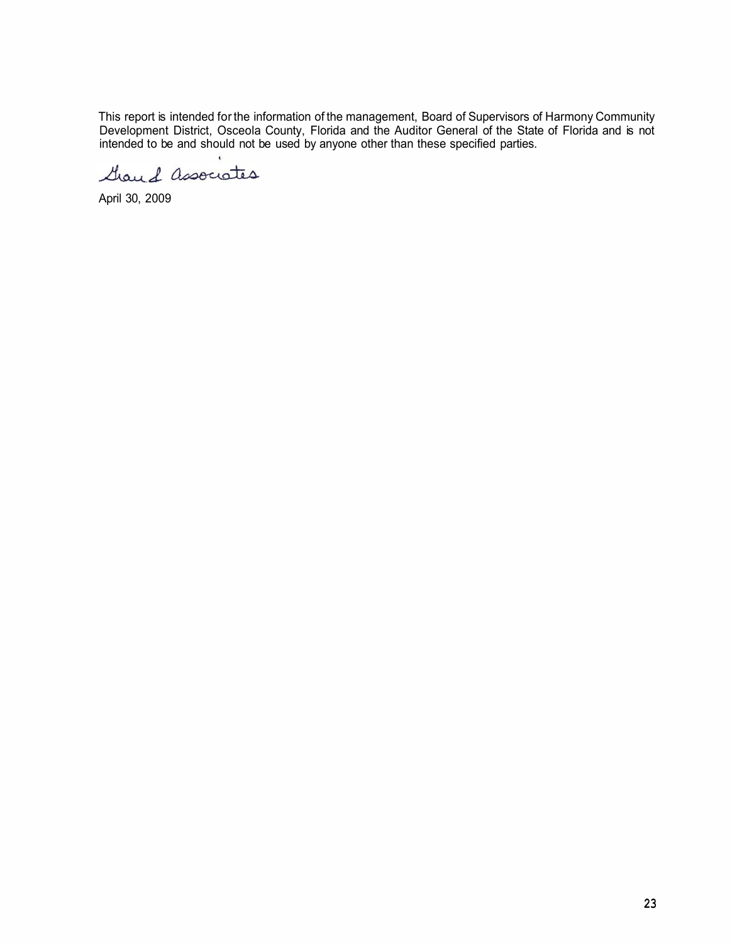This report is intended for the information of the management, Board of Supervisors of Harmony Community Development District, Osceola County, Florida and the Auditor General of the State of Florida and is not intended to be and should not be used by anyone other than these specified parties.

Grand associates

April 30, 2009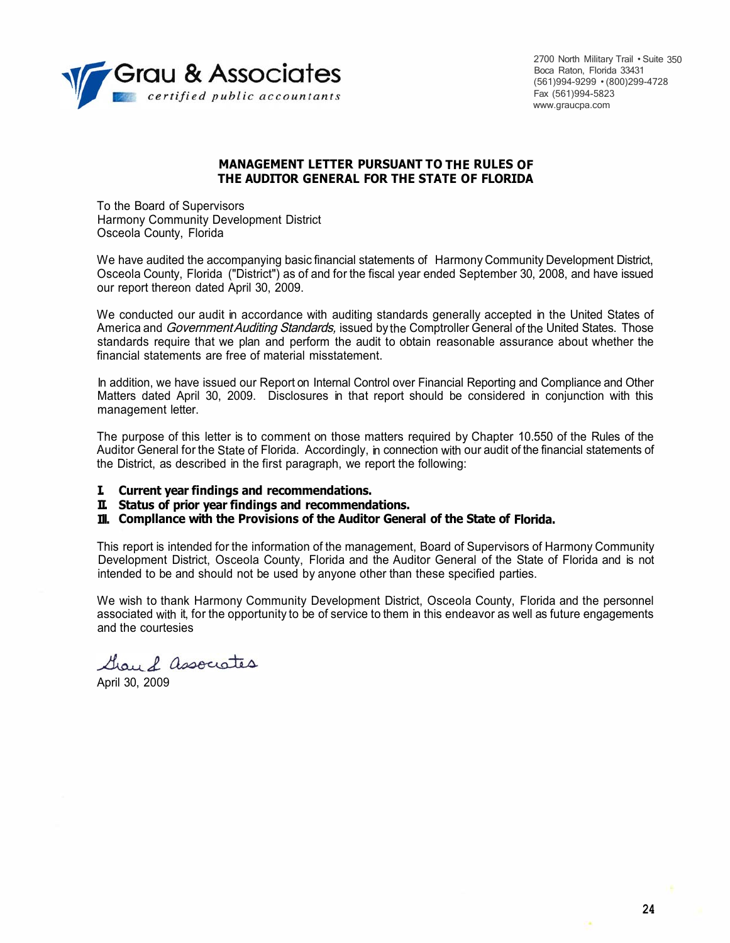

2700 North Military Trail • Suite 350 Boca Raton, Florida 33431 (561)994-9299 • (800)299-4728 Fax (561)994-5823 www.graucpa.com

## **MANAGEMENT LETTER PURSUANT TO THE RULES OF THE AUDITOR GENERAL FOR THE STATE OF FLORIDA**

To the Board of Supervisors Harmony Community Development District Osceola County, Florida

We have audited the accompanying basic financial statements of Harmony Community Development District, Osceola County, Florida ("District") as of and for the fiscal year ended September 30, 2008, and have issued our report thereon dated April 30, 2009.

We conducted our audit in accordance with auditing standards generally accepted in the United States of America and Government Auditing Standards, issued by the Comptroller General of the United States. Those standards require that we plan and perform the audit to obtain reasonable assurance about whether the financial statements are free of material misstatement.

In addition, we have issued our Report on Internal Control over Financial Reporting and Compliance and Other Matters dated April 30, 2009. Disclosures in that report should be considered in conjunction with this management letter.

The purpose of this letter is to comment on those matters required by Chapter 10.550 of the Rules of the Auditor General for the State of Florida. Accordingly, in connection with our audit of the financial statements of the District, as described in the first paragraph, we report the following:

**I. Current year findings and recommendations.**

**II. Status of prior year findings and recommendations.**

**Ill. Compllance with the Provisions of the Auditor General of the State of Florida.**

This report is intended for the information of the management, Board of Supervisors of Harmony Community Development District, Osceola County, Florida and the Auditor General of the State of Florida and is not intended to be and should not be used by anyone other than these specified parties.

We wish to thank Harmony Community Development District, Osceola County, Florida and the personnel associated with it, for the opportunity to be of service to them in this endeavor as well as future engagements and the courtesies

Grou & associates

April 30, 2009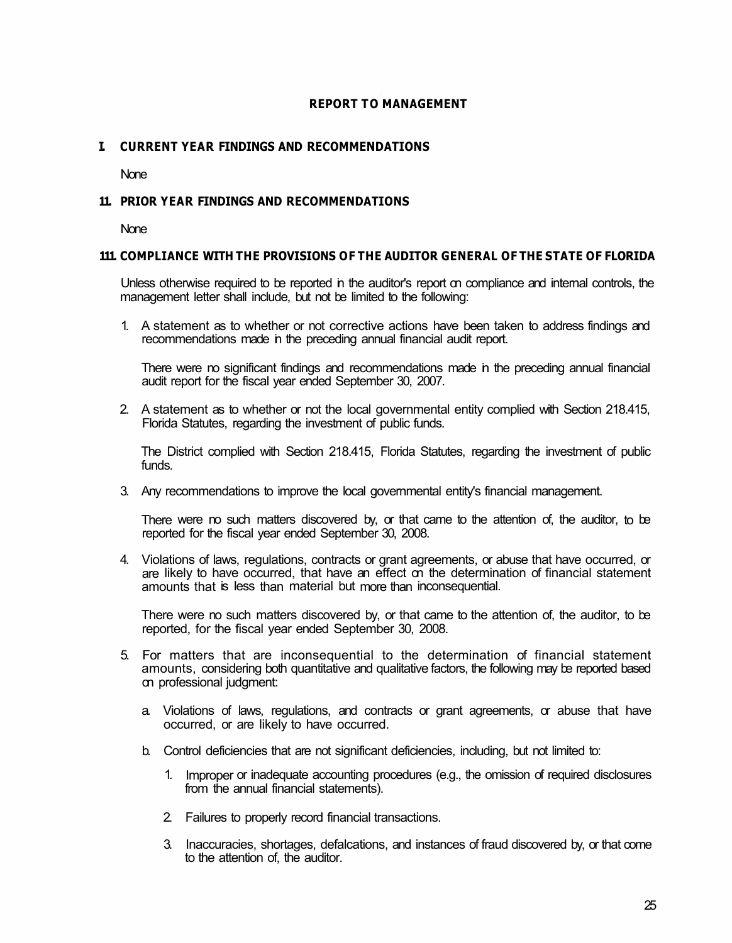# **REPORT TO MANAGEMENT**

# **I. CURRENT YEAR FINDINGS AND RECOMMENDATIONS**

None

## **11. PRIOR YEAR FINDINGS AND RECOMMENDATIONS**

None

## **111. COMPLIANCE WITH THE PROVISIONS OF THE AUDITOR GENERAL OF THE STATE OF FLORIDA**

Unless otherwise required to be reported in the auditor's report on compliance and internal controls, the management letter shall include, but not be limited to the following:

1. A statement as to whether or not corrective actions have been taken to address findings and recommendations made in the preceding annual financial audit report.

There were no significant findings and recommendations made in the preceding annual financial audit report for the fiscal year ended September 30, 2007.

2. A statement as to whether or not the local governmental entity complied with Section 218.415, Florida Statutes, regarding the investment of public funds.

The District complied with Section 218.415, Florida Statutes, regarding the investment of public funds.

3. Any recommendations to improve the local governmental entity's financial management.

There were no such matters discovered by, or that came to the attention of, the auditor, to be reported for the fiscal year ended September 30, 2008.

4. Violations of laws, regulations, contracts or grant agreements, or abuse that have occurred, or are likely to have occurred, that have an effect on the determination of financial statement amounts that is less than material but more than inconsequential.

There were no such matters discovered by, or that came to the attention of, the auditor, to be reported, for the fiscal year ended September 30, 2008.

- 5. For matters that are inconsequential to the determination of financial statement amounts, considering both quantitative and qualitative factors, the following may be reported based on professional judgment:
	- a. Violations of laws, regulations, and contracts or grant agreements, or abuse that have occurred, or are likely to have occurred.
	- b. Control deficiencies that are not significant deficiencies, including, but not limited to:
		- 1. Improper or inadequate accounting procedures (e.g., the omission of required disclosures from the annual financial statements).
		- 2. Failures to properly record financial transactions.
		- 3. Inaccuracies, shortages, defalcations, and instances of fraud discovered by, or that come to the attention of, the auditor.